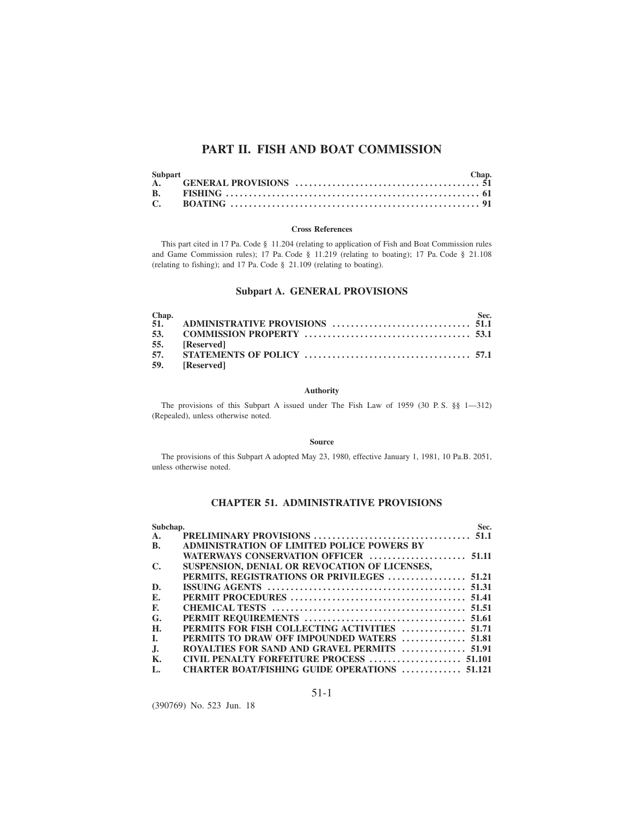# **PART II. FISH AND BOAT COMMISSION**

| Subpart | Chap. |
|---------|-------|
|         |       |
|         |       |
|         |       |

# **Cross References**

This part cited in 17 Pa. Code § 11.204 (relating to application of Fish and Boat Commission rules and Game Commission rules); 17 Pa. Code § 11.219 (relating to boating); 17 Pa. Code § 21.108 (relating to fishing); and 17 Pa. Code § 21.109 (relating to boating).

# **Subpart A. GENERAL PROVISIONS**

| Chap. |            | Sec. |
|-------|------------|------|
| 51.   |            |      |
| 53.   |            |      |
| 55.   | [Reserved] |      |
|       |            |      |
| 59.   | [Reserved] |      |

## **Authority**

The provisions of this Subpart A issued under The Fish Law of 1959 (30 P. S. §§ 1—312) (Repealed), unless otherwise noted.

### **Source**

The provisions of this Subpart A adopted May 23, 1980, effective January 1, 1981, 10 Pa.B. 2051, unless otherwise noted.

# **CHAPTER 51. ADMINISTRATIVE PROVISIONS**

| Subchap.     | Sec.                                                 |
|--------------|------------------------------------------------------|
| <b>A.</b>    |                                                      |
| <b>B.</b>    | ADMINISTRATION OF LIMITED POLICE POWERS BY           |
|              |                                                      |
| C.           | SUSPENSION, DENIAL OR REVOCATION OF LICENSES,        |
|              | PERMITS, REGISTRATIONS OR PRIVILEGES  51.21          |
| D.           |                                                      |
| Е.           |                                                      |
| F.           |                                                      |
| G.           |                                                      |
| Н.           | PERMITS FOR FISH COLLECTING ACTIVITIES  51.71        |
| L            | PERMITS TO DRAW OFF IMPOUNDED WATERS  51.81          |
| $\bf{J}$     | ROYALTIES FOR SAND AND GRAVEL PERMITS  51.91         |
| К.           |                                                      |
| $\mathbf{L}$ | <b>CHARTER BOAT/FISHING GUIDE OPERATIONS  51.121</b> |

51-1

(390769) No. 523 Jun. 18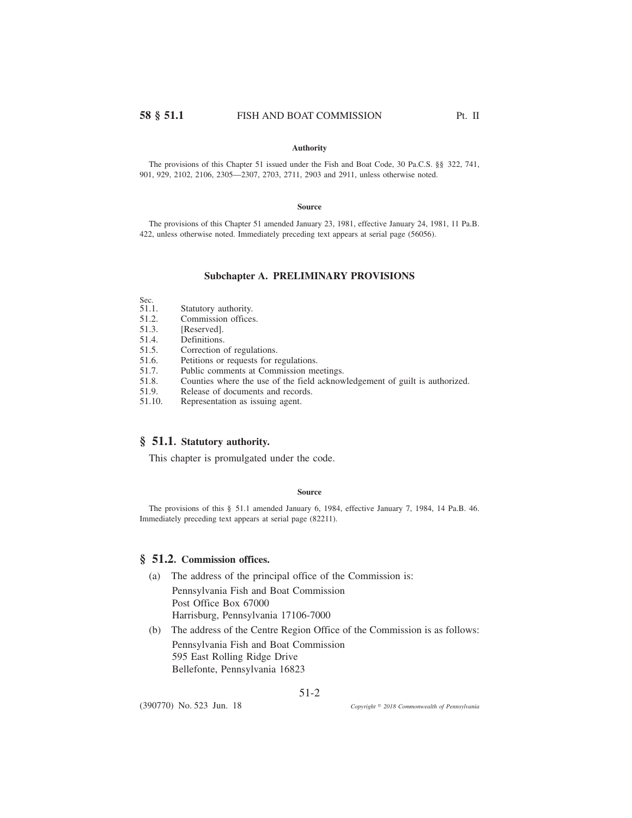# **58 § 51.1** FISH AND BOAT COMMISSION Pt. II

# **Authority**

The provisions of this Chapter 51 issued under the Fish and Boat Code, 30 Pa.C.S. §§ 322, 741, 901, 929, 2102, 2106, 2305—2307, 2703, 2711, 2903 and 2911, unless otherwise noted.

### **Source**

The provisions of this Chapter 51 amended January 23, 1981, effective January 24, 1981, 11 Pa.B. 422, unless otherwise noted. Immediately preceding text appears at serial page (56056).

# **Subchapter A. PRELIMINARY PROVISIONS**

- Sec.<br>51.1.
- 51.1. Statutory authority.<br>51.2. Commission offices
- Commission offices.
- 51.3. [Reserved].<br>51.4. Definitions.
- 51.4. Definitions.<br>51.5. Correction
- Correction of regulations.
- 51.6. Petitions or requests for regulations.
- 51.7. Public comments at Commission meetings.
- 51.8. Counties where the use of the field acknowledgement of guilt is authorized.<br>51.9. Release of documents and records.
- Release of documents and records.
- 51.10. Representation as issuing agent.

# **§ 51.1. Statutory authority.**

This chapter is promulgated under the code.

### **Source**

The provisions of this § 51.1 amended January 6, 1984, effective January 7, 1984, 14 Pa.B. 46. Immediately preceding text appears at serial page (82211).

# **§ 51.2. Commission offices.**

(390770) No. 523 Jun. 18

- (a) The address of the principal office of the Commission is: Pennsylvania Fish and Boat Commission Post Office Box 67000 Harrisburg, Pennsylvania 17106-7000
- (b) The address of the Centre Region Office of the Commission is as follows: Pennsylvania Fish and Boat Commission 595 East Rolling Ridge Drive Bellefonte, Pennsylvania 16823

51-2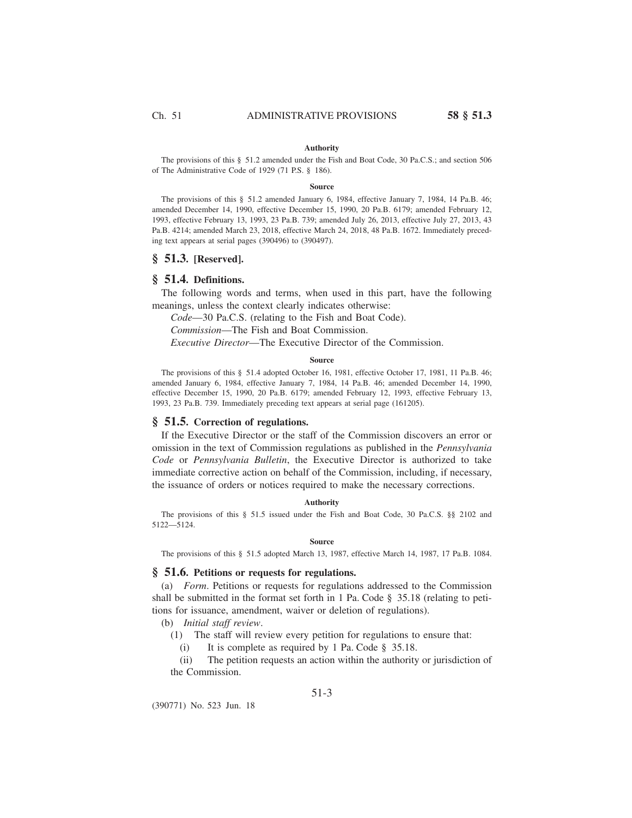### **Authority**

The provisions of this § 51.2 amended under the Fish and Boat Code, 30 Pa.C.S.; and section 506 of The Administrative Code of 1929 (71 P.S. § 186).

#### **Source**

The provisions of this § 51.2 amended January 6, 1984, effective January 7, 1984, 14 Pa.B. 46; amended December 14, 1990, effective December 15, 1990, 20 Pa.B. 6179; amended February 12, 1993, effective February 13, 1993, 23 Pa.B. 739; amended July 26, 2013, effective July 27, 2013, 43 Pa.B. 4214; amended March 23, 2018, effective March 24, 2018, 48 Pa.B. 1672. Immediately preceding text appears at serial pages (390496) to (390497).

# **§ 51.3. [Reserved].**

# **§ 51.4. Definitions.**

The following words and terms, when used in this part, have the following meanings, unless the context clearly indicates otherwise:

*Code*—30 Pa.C.S. (relating to the Fish and Boat Code).

*Commission*—The Fish and Boat Commission.

*Executive Director*—The Executive Director of the Commission.

### **Source**

The provisions of this § 51.4 adopted October 16, 1981, effective October 17, 1981, 11 Pa.B. 46; amended January 6, 1984, effective January 7, 1984, 14 Pa.B. 46; amended December 14, 1990, effective December 15, 1990, 20 Pa.B. 6179; amended February 12, 1993, effective February 13, 1993, 23 Pa.B. 739. Immediately preceding text appears at serial page (161205).

## **§ 51.5. Correction of regulations.**

If the Executive Director or the staff of the Commission discovers an error or omission in the text of Commission regulations as published in the *Pennsylvania Code* or *Pennsylvania Bulletin*, the Executive Director is authorized to take immediate corrective action on behalf of the Commission, including, if necessary, the issuance of orders or notices required to make the necessary corrections.

### **Authority**

The provisions of this § 51.5 issued under the Fish and Boat Code, 30 Pa.C.S. §§ 2102 and 5122—5124.

### **Source**

The provisions of this § 51.5 adopted March 13, 1987, effective March 14, 1987, 17 Pa.B. 1084.

# **§ 51.6. Petitions or requests for regulations.**

(a) *Form*. Petitions or requests for regulations addressed to the Commission shall be submitted in the format set forth in 1 Pa. Code  $\S$  35.18 (relating to petitions for issuance, amendment, waiver or deletion of regulations).

- (b) *Initial staff review*.
	- (1) The staff will review every petition for regulations to ensure that:
		- (i) It is complete as required by 1 Pa. Code § 35.18.

(ii) The petition requests an action within the authority or jurisdiction of the Commission.

## 51-3

(390771) No. 523 Jun. 18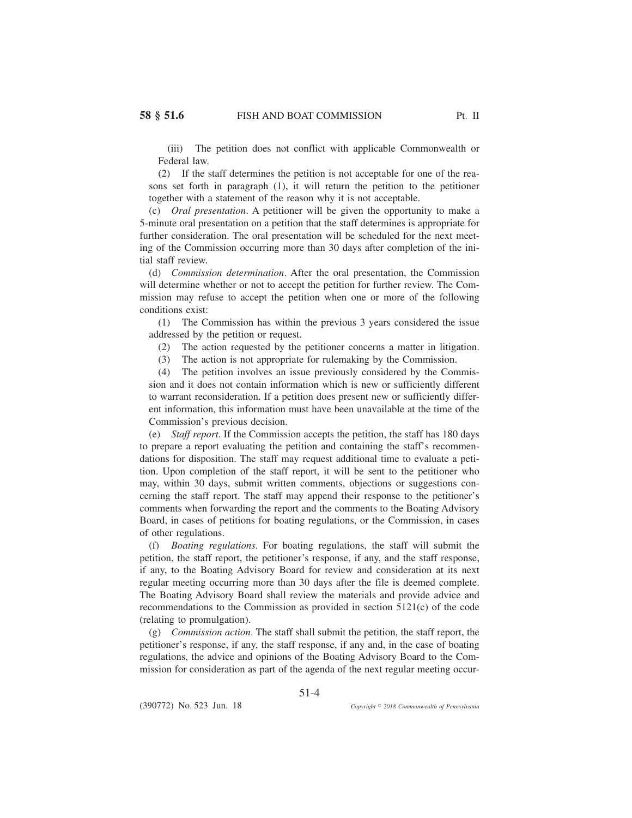(iii) The petition does not conflict with applicable Commonwealth or Federal law.

(2) If the staff determines the petition is not acceptable for one of the reasons set forth in paragraph (1), it will return the petition to the petitioner together with a statement of the reason why it is not acceptable.

(c) *Oral presentation*. A petitioner will be given the opportunity to make a 5-minute oral presentation on a petition that the staff determines is appropriate for further consideration. The oral presentation will be scheduled for the next meeting of the Commission occurring more than 30 days after completion of the initial staff review.

(d) *Commission determination*. After the oral presentation, the Commission will determine whether or not to accept the petition for further review. The Commission may refuse to accept the petition when one or more of the following conditions exist:

(1) The Commission has within the previous 3 years considered the issue addressed by the petition or request.

(2) The action requested by the petitioner concerns a matter in litigation.

(3) The action is not appropriate for rulemaking by the Commission.

(4) The petition involves an issue previously considered by the Commission and it does not contain information which is new or sufficiently different to warrant reconsideration. If a petition does present new or sufficiently different information, this information must have been unavailable at the time of the Commission's previous decision.

(e) *Staff report*. If the Commission accepts the petition, the staff has 180 days to prepare a report evaluating the petition and containing the staff's recommendations for disposition. The staff may request additional time to evaluate a petition. Upon completion of the staff report, it will be sent to the petitioner who may, within 30 days, submit written comments, objections or suggestions concerning the staff report. The staff may append their response to the petitioner's comments when forwarding the report and the comments to the Boating Advisory Board, in cases of petitions for boating regulations, or the Commission, in cases of other regulations.

(f) *Boating regulations*. For boating regulations, the staff will submit the petition, the staff report, the petitioner's response, if any, and the staff response, if any, to the Boating Advisory Board for review and consideration at its next regular meeting occurring more than 30 days after the file is deemed complete. The Boating Advisory Board shall review the materials and provide advice and recommendations to the Commission as provided in section 5121(c) of the code (relating to promulgation).

(g) *Commission action*. The staff shall submit the petition, the staff report, the petitioner's response, if any, the staff response, if any and, in the case of boating regulations, the advice and opinions of the Boating Advisory Board to the Commission for consideration as part of the agenda of the next regular meeting occur-

51-4

(390772) No. 523 Jun. 18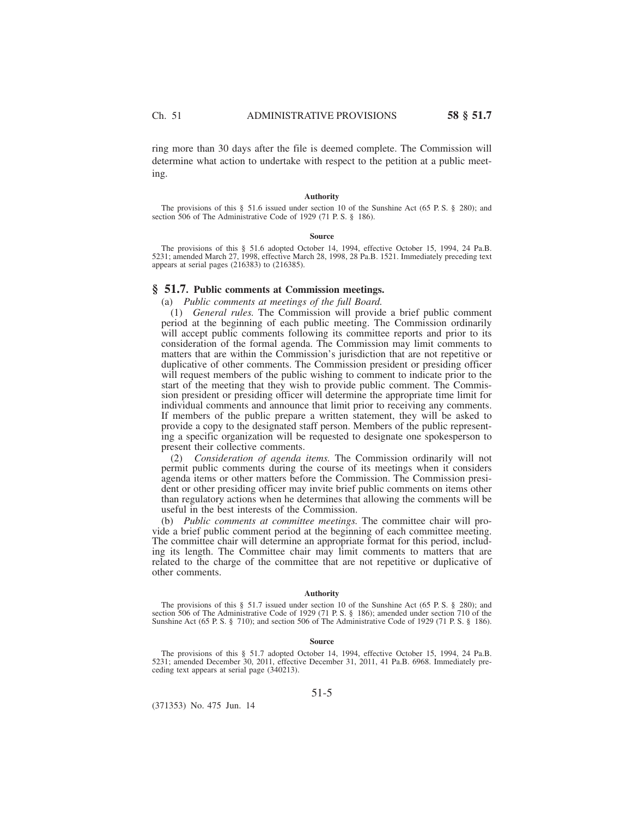ring more than 30 days after the file is deemed complete. The Commission will determine what action to undertake with respect to the petition at a public meeting.

### **Authority**

The provisions of this § 51.6 issued under section 10 of the Sunshine Act (65 P. S. § 280); and section 506 of The Administrative Code of 1929 (71 P. S. § 186).

#### **Source**

The provisions of this § 51.6 adopted October 14, 1994, effective October 15, 1994, 24 Pa.B. 5231; amended March 27, 1998, effective March 28, 1998, 28 Pa.B. 1521. Immediately preceding text appears at serial pages (216383) to (216385).

# **§ 51.7. Public comments at Commission meetings.**

(a) *Public comments at meetings of the full Board.*

(1) *General rules.* The Commission will provide a brief public comment period at the beginning of each public meeting. The Commission ordinarily will accept public comments following its committee reports and prior to its consideration of the formal agenda. The Commission may limit comments to matters that are within the Commission's jurisdiction that are not repetitive or duplicative of other comments. The Commission president or presiding officer will request members of the public wishing to comment to indicate prior to the start of the meeting that they wish to provide public comment. The Commission president or presiding officer will determine the appropriate time limit for individual comments and announce that limit prior to receiving any comments. If members of the public prepare a written statement, they will be asked to provide a copy to the designated staff person. Members of the public representing a specific organization will be requested to designate one spokesperson to present their collective comments.

(2) *Consideration of agenda items.* The Commission ordinarily will not permit public comments during the course of its meetings when it considers agenda items or other matters before the Commission. The Commission president or other presiding officer may invite brief public comments on items other than regulatory actions when he determines that allowing the comments will be useful in the best interests of the Commission.

(b) *Public comments at committee meetings.* The committee chair will provide a brief public comment period at the beginning of each committee meeting. The committee chair will determine an appropriate format for this period, including its length. The Committee chair may limit comments to matters that are related to the charge of the committee that are not repetitive or duplicative of other comments.

#### **Authority**

The provisions of this § 51.7 issued under section 10 of the Sunshine Act (65 P. S. § 280); and section 506 of The Administrative Code of 1929 (71 P. S. § 186); amended under section 710 of the Sunshine Act (65 P. S. § 710); and section 506 of The Administrative Code of 1929 (71 P. S. § 186).

#### **Source**

The provisions of this § 51.7 adopted October 14, 1994, effective October 15, 1994, 24 Pa.B. 5231; amended December 30, 2011, effective December 31, 2011, 41 Pa.B. 6968. Immediately preceding text appears at serial page (340213).

(371353) No. 475 Jun. 14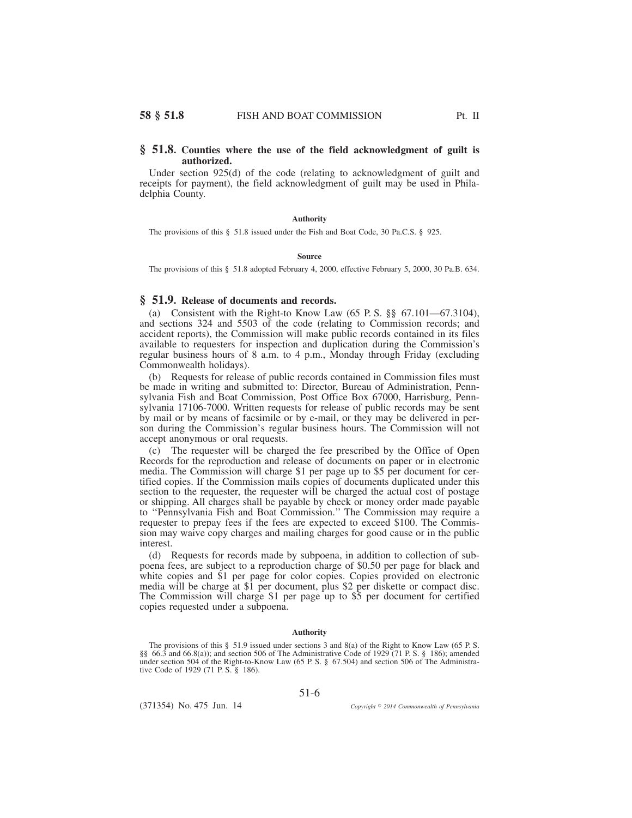# **§ 51.8. Counties where the use of the field acknowledgment of guilt is authorized.**

Under section 925(d) of the code (relating to acknowledgment of guilt and receipts for payment), the field acknowledgment of guilt may be used in Philadelphia County.

### **Authority**

The provisions of this § 51.8 issued under the Fish and Boat Code, 30 Pa.C.S. § 925.

#### **Source**

The provisions of this § 51.8 adopted February 4, 2000, effective February 5, 2000, 30 Pa.B. 634.

## **§ 51.9. Release of documents and records.**

(a) Consistent with the Right-to Know Law (65 P. S. §§ 67.101—67.3104), and sections 324 and 5503 of the code (relating to Commission records; and accident reports), the Commission will make public records contained in its files available to requesters for inspection and duplication during the Commission's regular business hours of 8 a.m. to 4 p.m., Monday through Friday (excluding Commonwealth holidays).

(b) Requests for release of public records contained in Commission files must be made in writing and submitted to: Director, Bureau of Administration, Pennsylvania Fish and Boat Commission, Post Office Box 67000, Harrisburg, Pennsylvania 17106-7000. Written requests for release of public records may be sent by mail or by means of facsimile or by e-mail, or they may be delivered in person during the Commission's regular business hours. The Commission will not accept anonymous or oral requests.

(c) The requester will be charged the fee prescribed by the Office of Open Records for the reproduction and release of documents on paper or in electronic media. The Commission will charge \$1 per page up to \$5 per document for certified copies. If the Commission mails copies of documents duplicated under this section to the requester, the requester will be charged the actual cost of postage or shipping. All charges shall be payable by check or money order made payable to ''Pennsylvania Fish and Boat Commission.'' The Commission may require a requester to prepay fees if the fees are expected to exceed \$100. The Commission may waive copy charges and mailing charges for good cause or in the public interest.

(d) Requests for records made by subpoena, in addition to collection of subpoena fees, are subject to a reproduction charge of \$0.50 per page for black and white copies and \$1 per page for color copies. Copies provided on electronic media will be charge at \$1 per document, plus \$2 per diskette or compact disc. The Commission will charge \$1 per page up to \$5 per document for certified copies requested under a subpoena.

### **Authority**

The provisions of this § 51.9 issued under sections 3 and 8(a) of the Right to Know Law (65 P. S. §§ 66.3 and 66.8(a)); and section 506 of The Administrative Code of 1929 (71 P. S. § 186); amended under section 504 of the Right-to-Know Law (65 P. S. § 67.504) and section 506 of The Administrative Code of 1929 (71 P. S. § 186).

51-6

(371354) No. 475 Jun. 14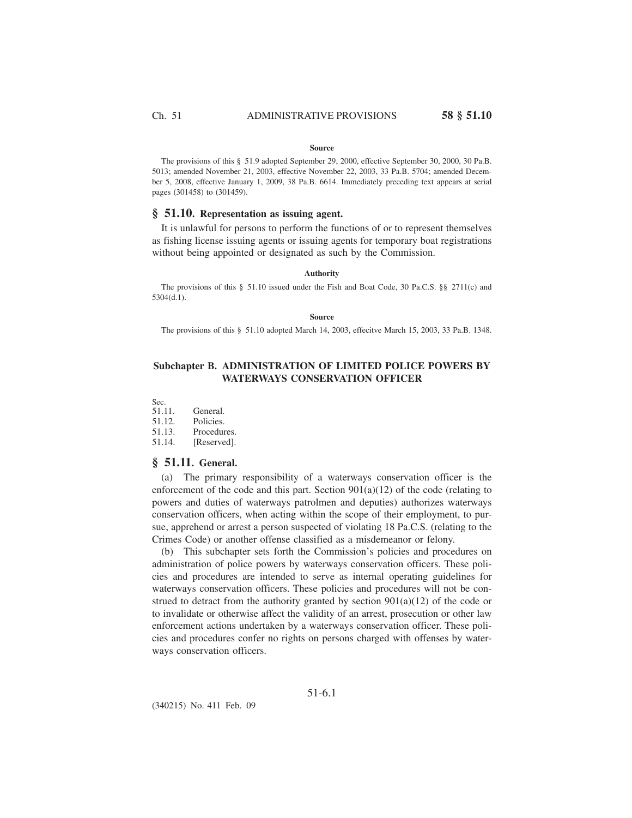### **Source**

The provisions of this § 51.9 adopted September 29, 2000, effective September 30, 2000, 30 Pa.B. 5013; amended November 21, 2003, effective November 22, 2003, 33 Pa.B. 5704; amended December 5, 2008, effective January 1, 2009, 38 Pa.B. 6614. Immediately preceding text appears at serial pages (301458) to (301459).

# **§ 51.10. Representation as issuing agent.**

It is unlawful for persons to perform the functions of or to represent themselves as fishing license issuing agents or issuing agents for temporary boat registrations without being appointed or designated as such by the Commission.

## **Authority**

The provisions of this § 51.10 issued under the Fish and Boat Code, 30 Pa.C.S. §§ 2711(c) and 5304(d.1).

#### **Source**

The provisions of this § 51.10 adopted March 14, 2003, effecitve March 15, 2003, 33 Pa.B. 1348.

# **Subchapter B. ADMINISTRATION OF LIMITED POLICE POWERS BY WATERWAYS CONSERVATION OFFICER**

| $\sim$ | $\sim$ | a.<br>$\sim$ |  |  |
|--------|--------|--------------|--|--|
|        |        |              |  |  |

51.11. General.

51.12. Policies.<br>51.13. Procedui

51.13. Procedures.<br>51.14. [Reserved].

[Reserved].

# **§ 51.11. General.**

(a) The primary responsibility of a waterways conservation officer is the enforcement of the code and this part. Section  $901(a)(12)$  of the code (relating to powers and duties of waterways patrolmen and deputies) authorizes waterways conservation officers, when acting within the scope of their employment, to pursue, apprehend or arrest a person suspected of violating 18 Pa.C.S. (relating to the Crimes Code) or another offense classified as a misdemeanor or felony.

(b) This subchapter sets forth the Commission's policies and procedures on administration of police powers by waterways conservation officers. These policies and procedures are intended to serve as internal operating guidelines for waterways conservation officers. These policies and procedures will not be construed to detract from the authority granted by section  $901(a)(12)$  of the code or to invalidate or otherwise affect the validity of an arrest, prosecution or other law enforcement actions undertaken by a waterways conservation officer. These policies and procedures confer no rights on persons charged with offenses by waterways conservation officers.

(340215) No. 411 Feb. 09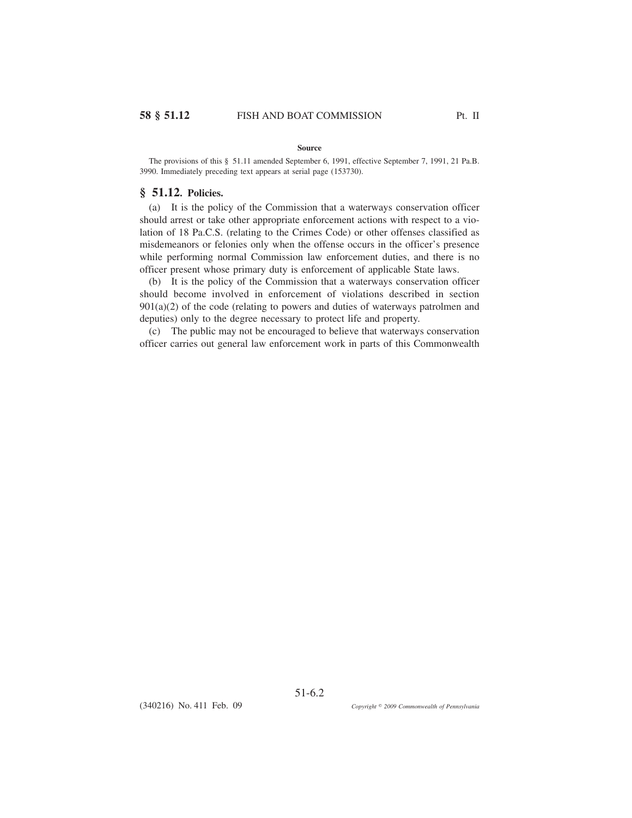### **Source**

The provisions of this § 51.11 amended September 6, 1991, effective September 7, 1991, 21 Pa.B. 3990. Immediately preceding text appears at serial page (153730).

# **§ 51.12. Policies.**

(a) It is the policy of the Commission that a waterways conservation officer should arrest or take other appropriate enforcement actions with respect to a violation of 18 Pa.C.S. (relating to the Crimes Code) or other offenses classified as misdemeanors or felonies only when the offense occurs in the officer's presence while performing normal Commission law enforcement duties, and there is no officer present whose primary duty is enforcement of applicable State laws.

(b) It is the policy of the Commission that a waterways conservation officer should become involved in enforcement of violations described in section 901(a)(2) of the code (relating to powers and duties of waterways patrolmen and deputies) only to the degree necessary to protect life and property.

(c) The public may not be encouraged to believe that waterways conservation officer carries out general law enforcement work in parts of this Commonwealth

51-6.2

(340216) No. 411 Feb. 09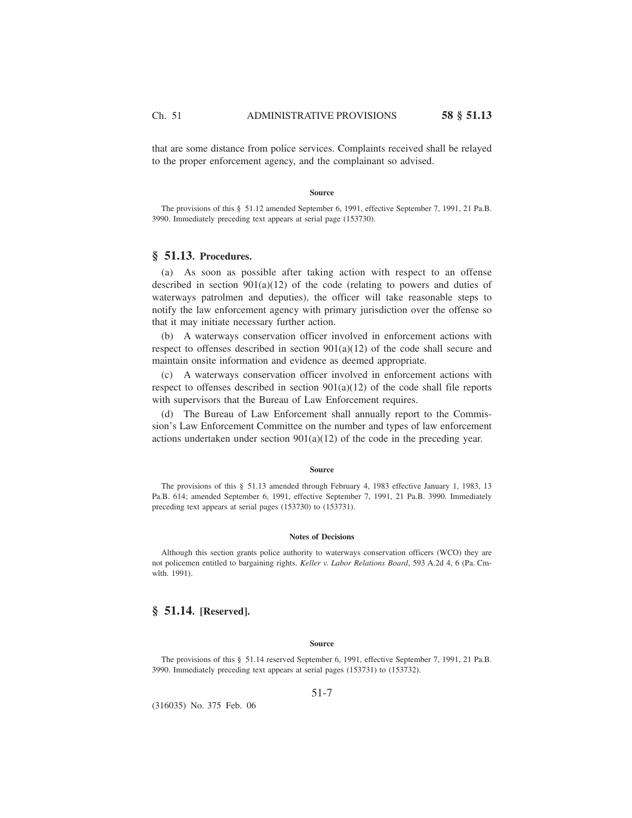that are some distance from police services. Complaints received shall be relayed to the proper enforcement agency, and the complainant so advised.

#### **Source**

The provisions of this § 51.12 amended September 6, 1991, effective September 7, 1991, 21 Pa.B. 3990. Immediately preceding text appears at serial page (153730).

# **§ 51.13. Procedures.**

(a) As soon as possible after taking action with respect to an offense described in section  $901(a)(12)$  of the code (relating to powers and duties of waterways patrolmen and deputies), the officer will take reasonable steps to notify the law enforcement agency with primary jurisdiction over the offense so that it may initiate necessary further action.

(b) A waterways conservation officer involved in enforcement actions with respect to offenses described in section  $901(a)(12)$  of the code shall secure and maintain onsite information and evidence as deemed appropriate.

(c) A waterways conservation officer involved in enforcement actions with respect to offenses described in section 901(a)(12) of the code shall file reports with supervisors that the Bureau of Law Enforcement requires.

(d) The Bureau of Law Enforcement shall annually report to the Commission's Law Enforcement Committee on the number and types of law enforcement actions undertaken under section 901(a)(12) of the code in the preceding year.

#### **Source**

The provisions of this § 51.13 amended through February 4, 1983 effective January 1, 1983, 13 Pa.B. 614; amended September 6, 1991, effective September 7, 1991, 21 Pa.B. 3990. Immediately preceding text appears at serial pages (153730) to (153731).

### **Notes of Decisions**

Although this section grants police authority to waterways conservation officers (WCO) they are not policemen entitled to bargaining rights. *Keller v. Labor Relations Board*, 593 A.2d 4, 6 (Pa. Cmwlth. 1991).

# **§ 51.14. [Reserved].**

### **Source**

The provisions of this § 51.14 reserved September 6, 1991, effective September 7, 1991, 21 Pa.B. 3990. Immediately preceding text appears at serial pages (153731) to (153732).

### 51-7

(316035) No. 375 Feb. 06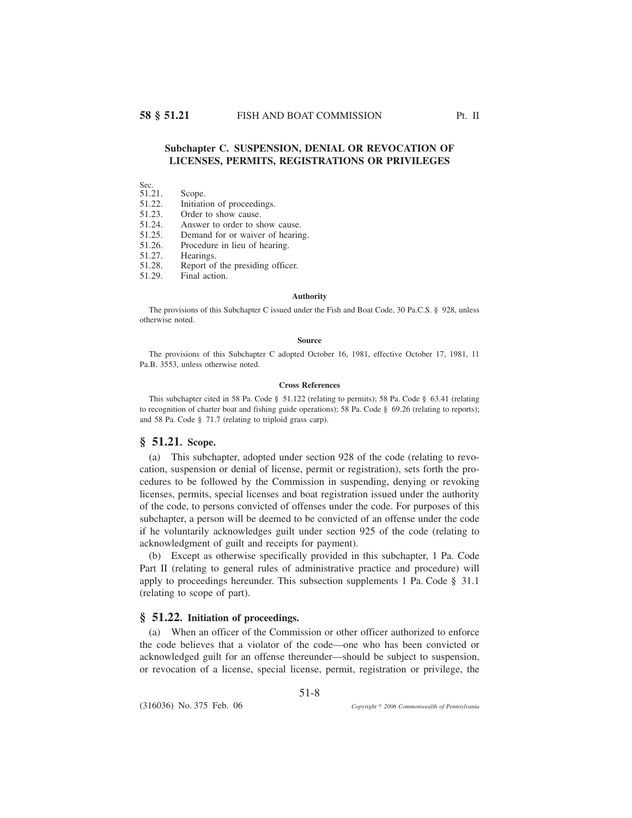# **Subchapter C. SUSPENSION, DENIAL OR REVOCATION OF LICENSES, PERMITS, REGISTRATIONS OR PRIVILEGES**

Sec.<br>51.21.

Scope.

51.22. Initiation of proceedings.

51.23. Order to show cause.

51.24. Answer to order to show cause.

51.25. Demand for or waiver of hearing.

51.26. Procedure in lieu of hearing.<br>51.27. Hearings.

51.27. Hearings.<br>51.28. Report of

Report of the presiding officer.

51.29. Final action.

### **Authority**

The provisions of this Subchapter C issued under the Fish and Boat Code, 30 Pa.C.S. § 928, unless otherwise noted.

### **Source**

The provisions of this Subchapter C adopted October 16, 1981, effective October 17, 1981, 11 Pa.B. 3553, unless otherwise noted.

### **Cross References**

This subchapter cited in 58 Pa. Code § 51.122 (relating to permits); 58 Pa. Code § 63.41 (relating to recognition of charter boat and fishing guide operations); 58 Pa. Code § 69.26 (relating to reports); and 58 Pa. Code § 71.7 (relating to triploid grass carp).

# **§ 51.21. Scope.**

(a) This subchapter, adopted under section 928 of the code (relating to revocation, suspension or denial of license, permit or registration), sets forth the procedures to be followed by the Commission in suspending, denying or revoking licenses, permits, special licenses and boat registration issued under the authority of the code, to persons convicted of offenses under the code. For purposes of this subchapter, a person will be deemed to be convicted of an offense under the code if he voluntarily acknowledges guilt under section 925 of the code (relating to acknowledgment of guilt and receipts for payment).

(b) Except as otherwise specifically provided in this subchapter, 1 Pa. Code Part II (relating to general rules of administrative practice and procedure) will apply to proceedings hereunder. This subsection supplements 1 Pa. Code § 31.1 (relating to scope of part).

# **§ 51.22. Initiation of proceedings.**

(a) When an officer of the Commission or other officer authorized to enforce the code believes that a violator of the code—one who has been convicted or acknowledged guilt for an offense thereunder—should be subject to suspension, or revocation of a license, special license, permit, registration or privilege, the

51-8

(316036) No. 375 Feb. 06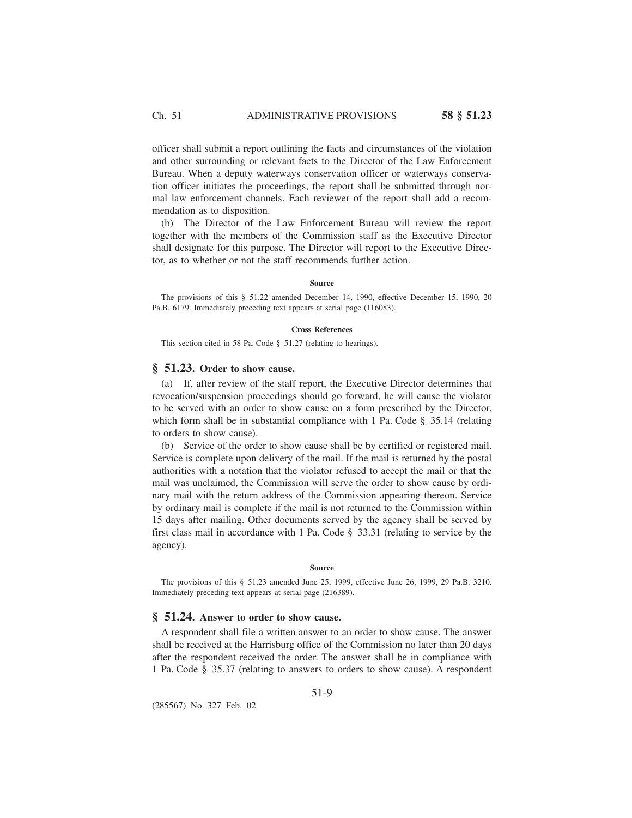officer shall submit a report outlining the facts and circumstances of the violation and other surrounding or relevant facts to the Director of the Law Enforcement Bureau. When a deputy waterways conservation officer or waterways conservation officer initiates the proceedings, the report shall be submitted through normal law enforcement channels. Each reviewer of the report shall add a recommendation as to disposition.

(b) The Director of the Law Enforcement Bureau will review the report together with the members of the Commission staff as the Executive Director shall designate for this purpose. The Director will report to the Executive Director, as to whether or not the staff recommends further action.

## **Source**

The provisions of this § 51.22 amended December 14, 1990, effective December 15, 1990, 20 Pa.B. 6179. Immediately preceding text appears at serial page (116083).

## **Cross References**

This section cited in 58 Pa. Code § 51.27 (relating to hearings).

# **§ 51.23. Order to show cause.**

(a) If, after review of the staff report, the Executive Director determines that revocation/suspension proceedings should go forward, he will cause the violator to be served with an order to show cause on a form prescribed by the Director, which form shall be in substantial compliance with 1 Pa. Code § 35.14 (relating to orders to show cause).

(b) Service of the order to show cause shall be by certified or registered mail. Service is complete upon delivery of the mail. If the mail is returned by the postal authorities with a notation that the violator refused to accept the mail or that the mail was unclaimed, the Commission will serve the order to show cause by ordinary mail with the return address of the Commission appearing thereon. Service by ordinary mail is complete if the mail is not returned to the Commission within 15 days after mailing. Other documents served by the agency shall be served by first class mail in accordance with 1 Pa. Code § 33.31 (relating to service by the agency).

#### **Source**

The provisions of this § 51.23 amended June 25, 1999, effective June 26, 1999, 29 Pa.B. 3210. Immediately preceding text appears at serial page (216389).

# **§ 51.24. Answer to order to show cause.**

A respondent shall file a written answer to an order to show cause. The answer shall be received at the Harrisburg office of the Commission no later than 20 days after the respondent received the order. The answer shall be in compliance with 1 Pa. Code § 35.37 (relating to answers to orders to show cause). A respondent

(285567) No. 327 Feb. 02

51-9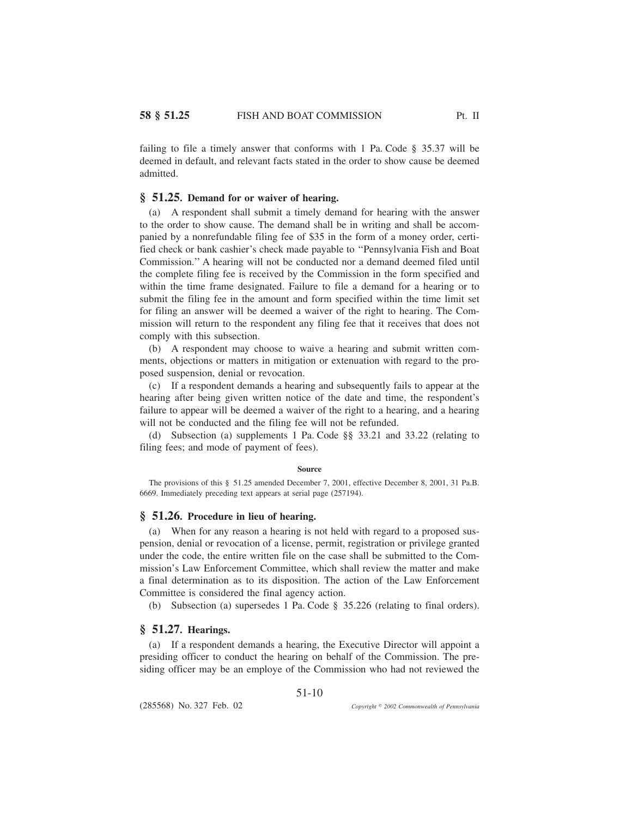failing to file a timely answer that conforms with 1 Pa. Code § 35.37 will be deemed in default, and relevant facts stated in the order to show cause be deemed admitted.

# **§ 51.25. Demand for or waiver of hearing.**

(a) A respondent shall submit a timely demand for hearing with the answer to the order to show cause. The demand shall be in writing and shall be accompanied by a nonrefundable filing fee of \$35 in the form of a money order, certified check or bank cashier's check made payable to ''Pennsylvania Fish and Boat Commission.'' A hearing will not be conducted nor a demand deemed filed until the complete filing fee is received by the Commission in the form specified and within the time frame designated. Failure to file a demand for a hearing or to submit the filing fee in the amount and form specified within the time limit set for filing an answer will be deemed a waiver of the right to hearing. The Commission will return to the respondent any filing fee that it receives that does not comply with this subsection.

(b) A respondent may choose to waive a hearing and submit written comments, objections or matters in mitigation or extenuation with regard to the proposed suspension, denial or revocation.

(c) If a respondent demands a hearing and subsequently fails to appear at the hearing after being given written notice of the date and time, the respondent's failure to appear will be deemed a waiver of the right to a hearing, and a hearing will not be conducted and the filing fee will not be refunded.

(d) Subsection (a) supplements 1 Pa. Code §§ 33.21 and 33.22 (relating to filing fees; and mode of payment of fees).

### **Source**

The provisions of this § 51.25 amended December 7, 2001, effective December 8, 2001, 31 Pa.B. 6669. Immediately preceding text appears at serial page (257194).

# **§ 51.26. Procedure in lieu of hearing.**

(a) When for any reason a hearing is not held with regard to a proposed suspension, denial or revocation of a license, permit, registration or privilege granted under the code, the entire written file on the case shall be submitted to the Commission's Law Enforcement Committee, which shall review the matter and make a final determination as to its disposition. The action of the Law Enforcement Committee is considered the final agency action.

(b) Subsection (a) supersedes 1 Pa. Code § 35.226 (relating to final orders).

# **§ 51.27. Hearings.**

(a) If a respondent demands a hearing, the Executive Director will appoint a presiding officer to conduct the hearing on behalf of the Commission. The presiding officer may be an employe of the Commission who had not reviewed the

51-10

(285568) No. 327 Feb. 02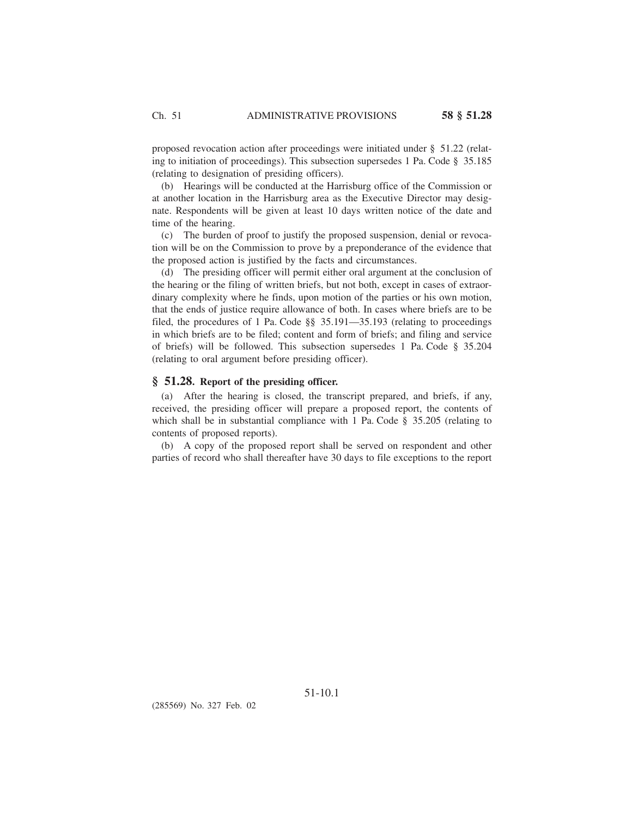proposed revocation action after proceedings were initiated under § 51.22 (relating to initiation of proceedings). This subsection supersedes 1 Pa. Code § 35.185 (relating to designation of presiding officers).

(b) Hearings will be conducted at the Harrisburg office of the Commission or at another location in the Harrisburg area as the Executive Director may designate. Respondents will be given at least 10 days written notice of the date and time of the hearing.

(c) The burden of proof to justify the proposed suspension, denial or revocation will be on the Commission to prove by a preponderance of the evidence that the proposed action is justified by the facts and circumstances.

(d) The presiding officer will permit either oral argument at the conclusion of the hearing or the filing of written briefs, but not both, except in cases of extraordinary complexity where he finds, upon motion of the parties or his own motion, that the ends of justice require allowance of both. In cases where briefs are to be filed, the procedures of 1 Pa. Code §§ 35.191—35.193 (relating to proceedings in which briefs are to be filed; content and form of briefs; and filing and service of briefs) will be followed. This subsection supersedes 1 Pa. Code § 35.204 (relating to oral argument before presiding officer).

# **§ 51.28. Report of the presiding officer.**

(a) After the hearing is closed, the transcript prepared, and briefs, if any, received, the presiding officer will prepare a proposed report, the contents of which shall be in substantial compliance with 1 Pa. Code § 35.205 (relating to contents of proposed reports).

(b) A copy of the proposed report shall be served on respondent and other parties of record who shall thereafter have 30 days to file exceptions to the report

(285569) No. 327 Feb. 02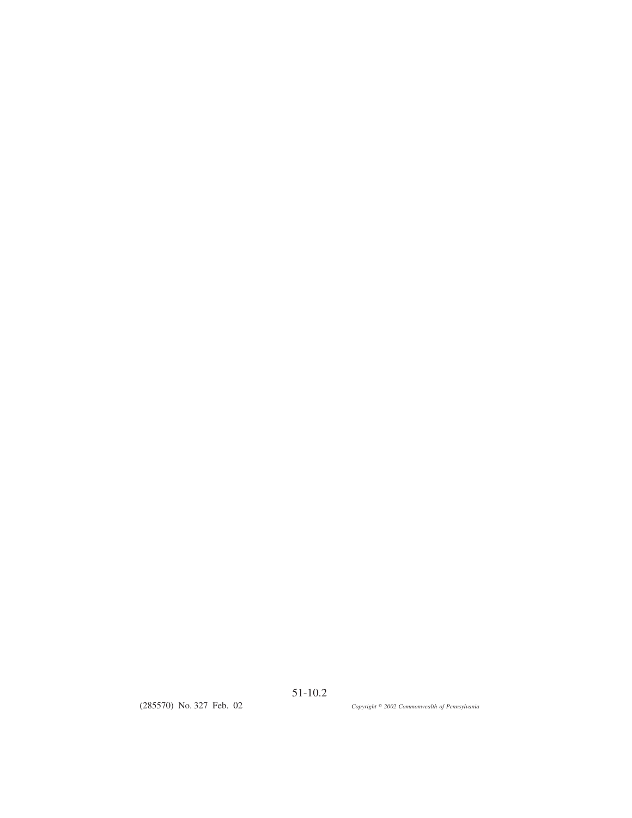(285570) No. 327 Feb. 02

*2002 Commonwealth of Pennsylvania*

51-10.2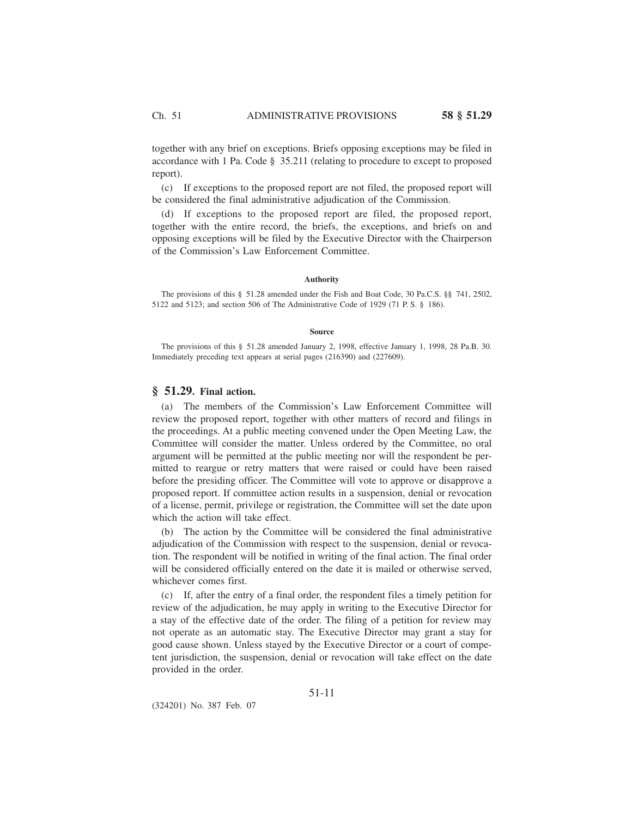together with any brief on exceptions. Briefs opposing exceptions may be filed in accordance with 1 Pa. Code § 35.211 (relating to procedure to except to proposed report).

(c) If exceptions to the proposed report are not filed, the proposed report will be considered the final administrative adjudication of the Commission.

(d) If exceptions to the proposed report are filed, the proposed report, together with the entire record, the briefs, the exceptions, and briefs on and opposing exceptions will be filed by the Executive Director with the Chairperson of the Commission's Law Enforcement Committee.

### **Authority**

The provisions of this § 51.28 amended under the Fish and Boat Code, 30 Pa.C.S. §§ 741, 2502, 5122 and 5123; and section 506 of The Administrative Code of 1929 (71 P. S. § 186).

### **Source**

The provisions of this § 51.28 amended January 2, 1998, effective January 1, 1998, 28 Pa.B. 30. Immediately preceding text appears at serial pages (216390) and (227609).

# **§ 51.29. Final action.**

(a) The members of the Commission's Law Enforcement Committee will review the proposed report, together with other matters of record and filings in the proceedings. At a public meeting convened under the Open Meeting Law, the Committee will consider the matter. Unless ordered by the Committee, no oral argument will be permitted at the public meeting nor will the respondent be permitted to reargue or retry matters that were raised or could have been raised before the presiding officer. The Committee will vote to approve or disapprove a proposed report. If committee action results in a suspension, denial or revocation of a license, permit, privilege or registration, the Committee will set the date upon which the action will take effect.

(b) The action by the Committee will be considered the final administrative adjudication of the Commission with respect to the suspension, denial or revocation. The respondent will be notified in writing of the final action. The final order will be considered officially entered on the date it is mailed or otherwise served, whichever comes first.

(c) If, after the entry of a final order, the respondent files a timely petition for review of the adjudication, he may apply in writing to the Executive Director for a stay of the effective date of the order. The filing of a petition for review may not operate as an automatic stay. The Executive Director may grant a stay for good cause shown. Unless stayed by the Executive Director or a court of competent jurisdiction, the suspension, denial or revocation will take effect on the date provided in the order.

## 51-11

(324201) No. 387 Feb. 07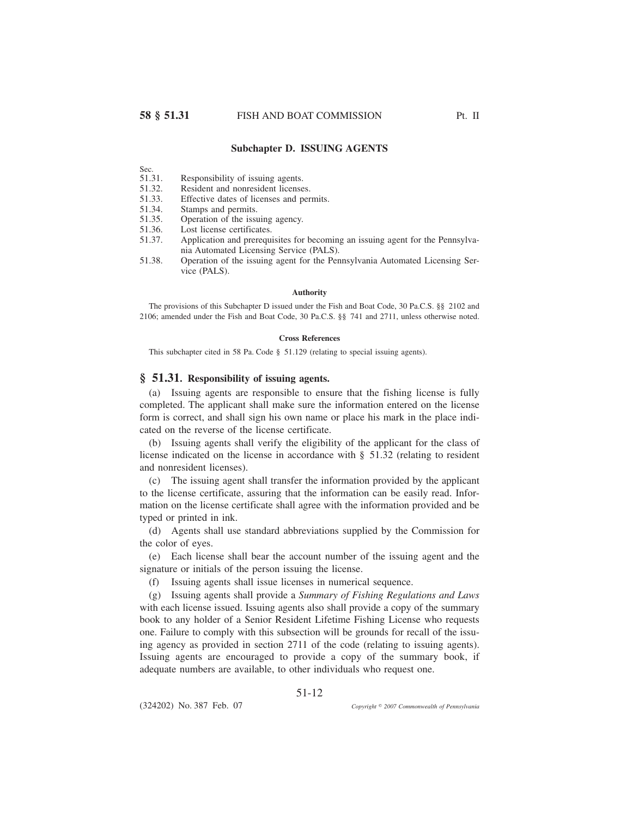# **Subchapter D. ISSUING AGENTS**

Sec.<br>51.31.

- 51.31. Responsibility of issuing agents.<br>51.32. Resident and nonresident license
- 51.32. Resident and nonresident licenses.<br>51.33. Effective dates of licenses and per
- Effective dates of licenses and permits.
- 51.34. Stamps and permits.
- 51.35. Operation of the issuing agency.

51.36. Lost license certificates.

- 51.37. Application and prerequisites for becoming an issuing agent for the Pennsylvania Automated Licensing Service (PALS).
- 51.38. Operation of the issuing agent for the Pennsylvania Automated Licensing Service (PALS).

## **Authority**

The provisions of this Subchapter D issued under the Fish and Boat Code, 30 Pa.C.S. §§ 2102 and 2106; amended under the Fish and Boat Code, 30 Pa.C.S. §§ 741 and 2711, unless otherwise noted.

# **Cross References**

This subchapter cited in 58 Pa. Code § 51.129 (relating to special issuing agents).

# **§ 51.31. Responsibility of issuing agents.**

(a) Issuing agents are responsible to ensure that the fishing license is fully completed. The applicant shall make sure the information entered on the license form is correct, and shall sign his own name or place his mark in the place indicated on the reverse of the license certificate.

(b) Issuing agents shall verify the eligibility of the applicant for the class of license indicated on the license in accordance with § 51.32 (relating to resident and nonresident licenses).

(c) The issuing agent shall transfer the information provided by the applicant to the license certificate, assuring that the information can be easily read. Information on the license certificate shall agree with the information provided and be typed or printed in ink.

(d) Agents shall use standard abbreviations supplied by the Commission for the color of eyes.

(e) Each license shall bear the account number of the issuing agent and the signature or initials of the person issuing the license.

(f) Issuing agents shall issue licenses in numerical sequence.

(g) Issuing agents shall provide a *Summary of Fishing Regulations and Laws* with each license issued. Issuing agents also shall provide a copy of the summary book to any holder of a Senior Resident Lifetime Fishing License who requests one. Failure to comply with this subsection will be grounds for recall of the issuing agency as provided in section 2711 of the code (relating to issuing agents). Issuing agents are encouraged to provide a copy of the summary book, if adequate numbers are available, to other individuals who request one.

51-12

(324202) No. 387 Feb. 07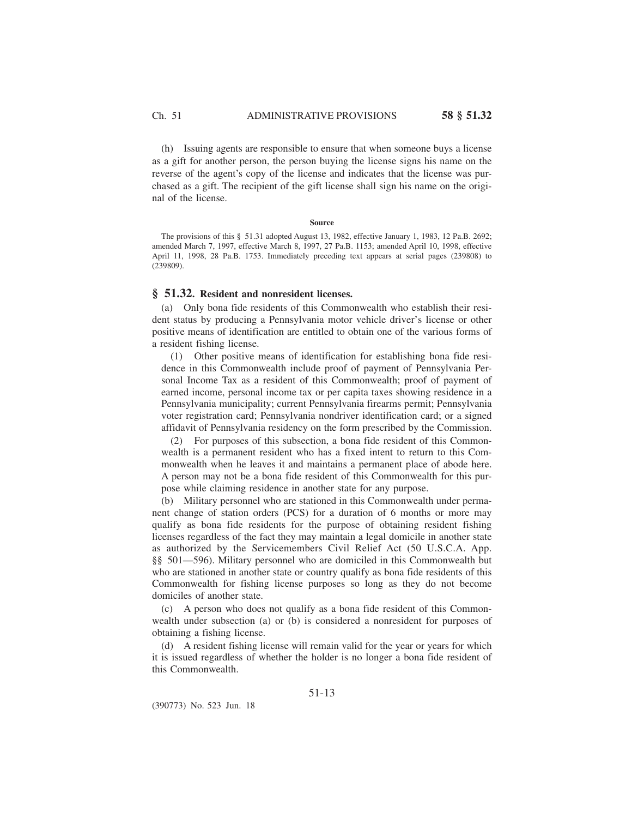(h) Issuing agents are responsible to ensure that when someone buys a license as a gift for another person, the person buying the license signs his name on the reverse of the agent's copy of the license and indicates that the license was purchased as a gift. The recipient of the gift license shall sign his name on the original of the license.

### **Source**

The provisions of this § 51.31 adopted August 13, 1982, effective January 1, 1983, 12 Pa.B. 2692; amended March 7, 1997, effective March 8, 1997, 27 Pa.B. 1153; amended April 10, 1998, effective April 11, 1998, 28 Pa.B. 1753. Immediately preceding text appears at serial pages (239808) to  $(239809)$ 

## **§ 51.32. Resident and nonresident licenses.**

(a) Only bona fide residents of this Commonwealth who establish their resident status by producing a Pennsylvania motor vehicle driver's license or other positive means of identification are entitled to obtain one of the various forms of a resident fishing license.

(1) Other positive means of identification for establishing bona fide residence in this Commonwealth include proof of payment of Pennsylvania Personal Income Tax as a resident of this Commonwealth; proof of payment of earned income, personal income tax or per capita taxes showing residence in a Pennsylvania municipality; current Pennsylvania firearms permit; Pennsylvania voter registration card; Pennsylvania nondriver identification card; or a signed affidavit of Pennsylvania residency on the form prescribed by the Commission.

(2) For purposes of this subsection, a bona fide resident of this Commonwealth is a permanent resident who has a fixed intent to return to this Commonwealth when he leaves it and maintains a permanent place of abode here. A person may not be a bona fide resident of this Commonwealth for this purpose while claiming residence in another state for any purpose.

(b) Military personnel who are stationed in this Commonwealth under permanent change of station orders (PCS) for a duration of 6 months or more may qualify as bona fide residents for the purpose of obtaining resident fishing licenses regardless of the fact they may maintain a legal domicile in another state as authorized by the Servicemembers Civil Relief Act (50 U.S.C.A. App. §§ 501—596). Military personnel who are domiciled in this Commonwealth but who are stationed in another state or country qualify as bona fide residents of this Commonwealth for fishing license purposes so long as they do not become domiciles of another state.

(c) A person who does not qualify as a bona fide resident of this Commonwealth under subsection (a) or (b) is considered a nonresident for purposes of obtaining a fishing license.

(d) A resident fishing license will remain valid for the year or years for which it is issued regardless of whether the holder is no longer a bona fide resident of this Commonwealth.

(390773) No. 523 Jun. 18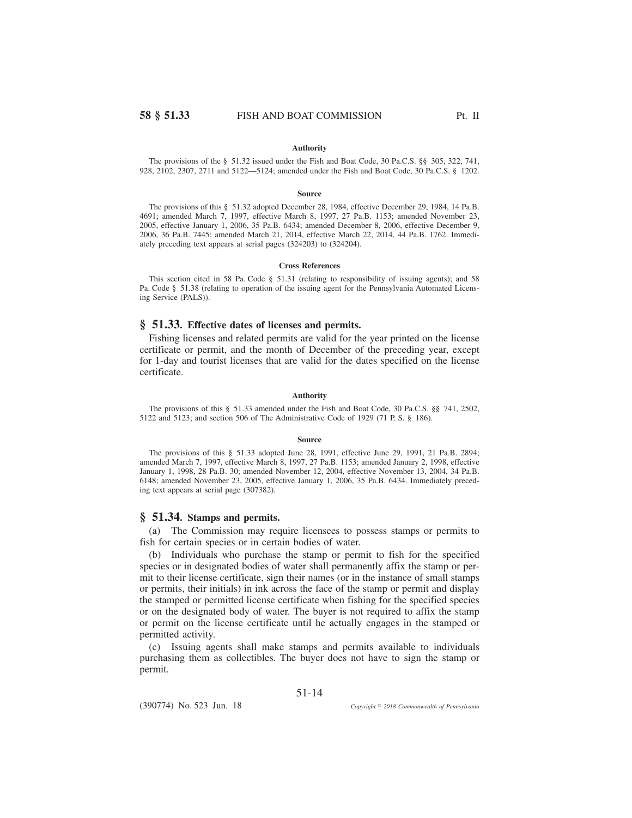## **Authority**

The provisions of the § 51.32 issued under the Fish and Boat Code, 30 Pa.C.S. §§ 305, 322, 741, 928, 2102, 2307, 2711 and 5122—5124; amended under the Fish and Boat Code, 30 Pa.C.S. § 1202.

### **Source**

The provisions of this § 51.32 adopted December 28, 1984, effective December 29, 1984, 14 Pa.B. 4691; amended March 7, 1997, effective March 8, 1997, 27 Pa.B. 1153; amended November 23, 2005, effective January 1, 2006, 35 Pa.B. 6434; amended December 8, 2006, effective December 9, 2006, 36 Pa.B. 7445; amended March 21, 2014, effective March 22, 2014, 44 Pa.B. 1762. Immediately preceding text appears at serial pages (324203) to (324204).

#### **Cross References**

This section cited in 58 Pa. Code § 51.31 (relating to responsibility of issuing agents); and 58 Pa. Code § 51.38 (relating to operation of the issuing agent for the Pennsylvania Automated Licensing Service (PALS)).

## **§ 51.33. Effective dates of licenses and permits.**

Fishing licenses and related permits are valid for the year printed on the license certificate or permit, and the month of December of the preceding year, except for 1-day and tourist licenses that are valid for the dates specified on the license certificate.

#### **Authority**

The provisions of this § 51.33 amended under the Fish and Boat Code, 30 Pa.C.S. §§ 741, 2502, 5122 and 5123; and section 506 of The Administrative Code of 1929 (71 P. S. § 186).

#### **Source**

The provisions of this § 51.33 adopted June 28, 1991, effective June 29, 1991, 21 Pa.B. 2894; amended March 7, 1997, effective March 8, 1997, 27 Pa.B. 1153; amended January 2, 1998, effective January 1, 1998, 28 Pa.B. 30; amended November 12, 2004, effective November 13, 2004, 34 Pa.B. 6148; amended November 23, 2005, effective January 1, 2006, 35 Pa.B. 6434. Immediately preceding text appears at serial page (307382).

### **§ 51.34. Stamps and permits.**

(a) The Commission may require licensees to possess stamps or permits to fish for certain species or in certain bodies of water.

(b) Individuals who purchase the stamp or permit to fish for the specified species or in designated bodies of water shall permanently affix the stamp or permit to their license certificate, sign their names (or in the instance of small stamps or permits, their initials) in ink across the face of the stamp or permit and display the stamped or permitted license certificate when fishing for the specified species or on the designated body of water. The buyer is not required to affix the stamp or permit on the license certificate until he actually engages in the stamped or permitted activity.

(c) Issuing agents shall make stamps and permits available to individuals purchasing them as collectibles. The buyer does not have to sign the stamp or permit.

(390774) No. 523 Jun. 18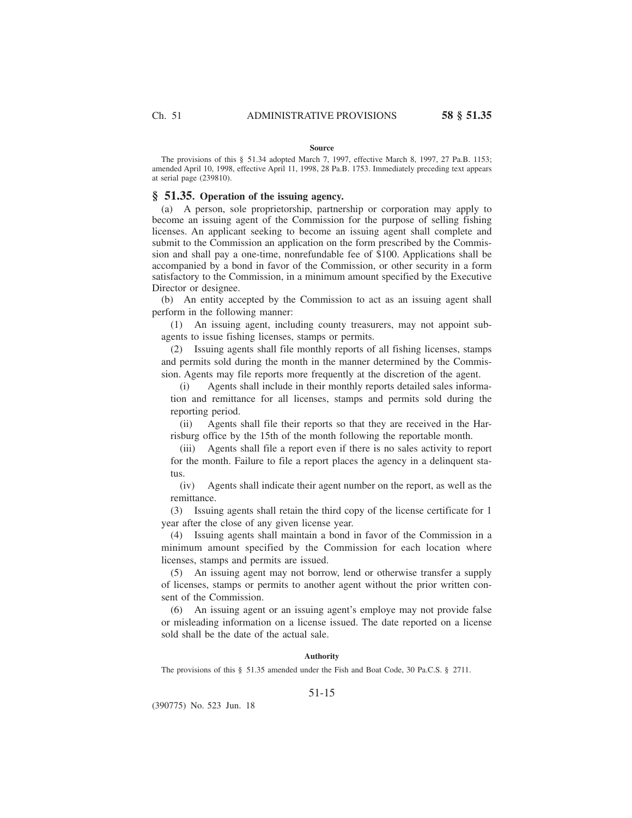#### **Source**

The provisions of this § 51.34 adopted March 7, 1997, effective March 8, 1997, 27 Pa.B. 1153; amended April 10, 1998, effective April 11, 1998, 28 Pa.B. 1753. Immediately preceding text appears at serial page (239810).

## **§ 51.35. Operation of the issuing agency.**

(a) A person, sole proprietorship, partnership or corporation may apply to become an issuing agent of the Commission for the purpose of selling fishing licenses. An applicant seeking to become an issuing agent shall complete and submit to the Commission an application on the form prescribed by the Commission and shall pay a one-time, nonrefundable fee of \$100. Applications shall be accompanied by a bond in favor of the Commission, or other security in a form satisfactory to the Commission, in a minimum amount specified by the Executive Director or designee.

(b) An entity accepted by the Commission to act as an issuing agent shall perform in the following manner:

(1) An issuing agent, including county treasurers, may not appoint subagents to issue fishing licenses, stamps or permits.

(2) Issuing agents shall file monthly reports of all fishing licenses, stamps and permits sold during the month in the manner determined by the Commission. Agents may file reports more frequently at the discretion of the agent.

(i) Agents shall include in their monthly reports detailed sales information and remittance for all licenses, stamps and permits sold during the reporting period.

(ii) Agents shall file their reports so that they are received in the Harrisburg office by the 15th of the month following the reportable month.

(iii) Agents shall file a report even if there is no sales activity to report for the month. Failure to file a report places the agency in a delinquent status.

(iv) Agents shall indicate their agent number on the report, as well as the remittance.

(3) Issuing agents shall retain the third copy of the license certificate for 1 year after the close of any given license year.

(4) Issuing agents shall maintain a bond in favor of the Commission in a minimum amount specified by the Commission for each location where licenses, stamps and permits are issued.

(5) An issuing agent may not borrow, lend or otherwise transfer a supply of licenses, stamps or permits to another agent without the prior written consent of the Commission.

An issuing agent or an issuing agent's employe may not provide false or misleading information on a license issued. The date reported on a license sold shall be the date of the actual sale.

### **Authority**

The provisions of this § 51.35 amended under the Fish and Boat Code, 30 Pa.C.S. § 2711.

## 51-15

(390775) No. 523 Jun. 18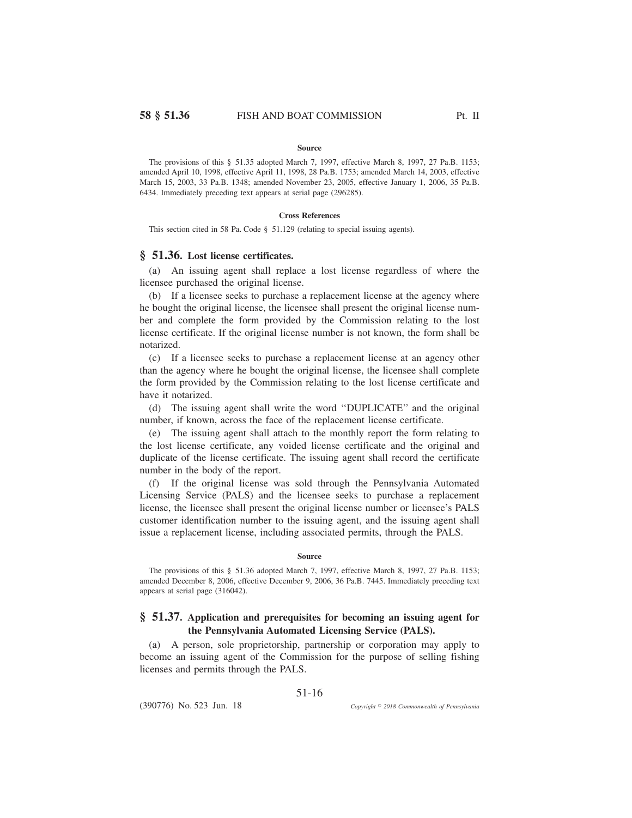### **Source**

The provisions of this § 51.35 adopted March 7, 1997, effective March 8, 1997, 27 Pa.B. 1153; amended April 10, 1998, effective April 11, 1998, 28 Pa.B. 1753; amended March 14, 2003, effective March 15, 2003, 33 Pa.B. 1348; amended November 23, 2005, effective January 1, 2006, 35 Pa.B. 6434. Immediately preceding text appears at serial page (296285).

## **Cross References**

This section cited in 58 Pa. Code § 51.129 (relating to special issuing agents).

## **§ 51.36. Lost license certificates.**

(a) An issuing agent shall replace a lost license regardless of where the licensee purchased the original license.

(b) If a licensee seeks to purchase a replacement license at the agency where he bought the original license, the licensee shall present the original license number and complete the form provided by the Commission relating to the lost license certificate. If the original license number is not known, the form shall be notarized.

(c) If a licensee seeks to purchase a replacement license at an agency other than the agency where he bought the original license, the licensee shall complete the form provided by the Commission relating to the lost license certificate and have it notarized.

(d) The issuing agent shall write the word ''DUPLICATE'' and the original number, if known, across the face of the replacement license certificate.

(e) The issuing agent shall attach to the monthly report the form relating to the lost license certificate, any voided license certificate and the original and duplicate of the license certificate. The issuing agent shall record the certificate number in the body of the report.

(f) If the original license was sold through the Pennsylvania Automated Licensing Service (PALS) and the licensee seeks to purchase a replacement license, the licensee shall present the original license number or licensee's PALS customer identification number to the issuing agent, and the issuing agent shall issue a replacement license, including associated permits, through the PALS.

### **Source**

The provisions of this § 51.36 adopted March 7, 1997, effective March 8, 1997, 27 Pa.B. 1153; amended December 8, 2006, effective December 9, 2006, 36 Pa.B. 7445. Immediately preceding text appears at serial page (316042).

# **§ 51.37. Application and prerequisites for becoming an issuing agent for the Pennsylvania Automated Licensing Service (PALS).**

(a) A person, sole proprietorship, partnership or corporation may apply to become an issuing agent of the Commission for the purpose of selling fishing licenses and permits through the PALS.

51-16

(390776) No. 523 Jun. 18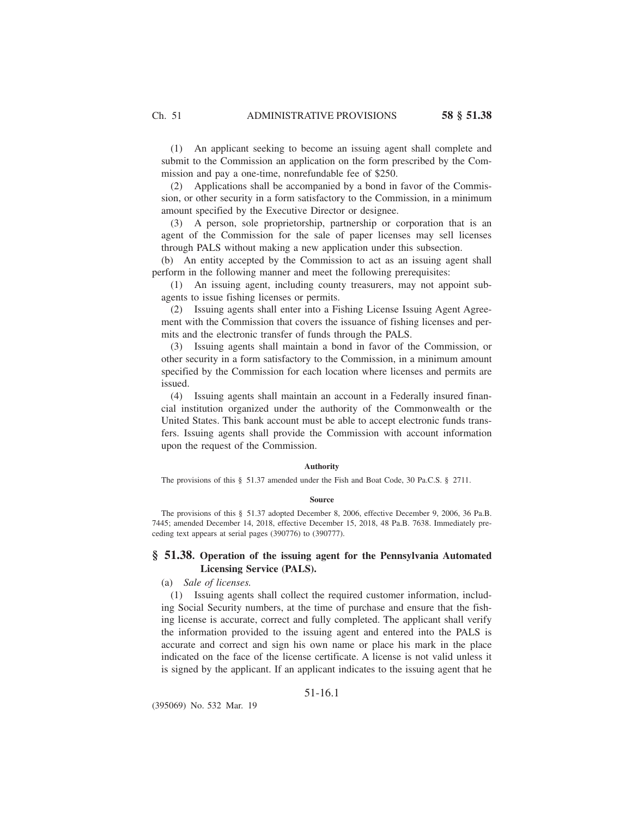(1) An applicant seeking to become an issuing agent shall complete and submit to the Commission an application on the form prescribed by the Commission and pay a one-time, nonrefundable fee of \$250.

(2) Applications shall be accompanied by a bond in favor of the Commission, or other security in a form satisfactory to the Commission, in a minimum amount specified by the Executive Director or designee.

(3) A person, sole proprietorship, partnership or corporation that is an agent of the Commission for the sale of paper licenses may sell licenses through PALS without making a new application under this subsection.

(b) An entity accepted by the Commission to act as an issuing agent shall perform in the following manner and meet the following prerequisites:

(1) An issuing agent, including county treasurers, may not appoint subagents to issue fishing licenses or permits.

(2) Issuing agents shall enter into a Fishing License Issuing Agent Agreement with the Commission that covers the issuance of fishing licenses and permits and the electronic transfer of funds through the PALS.

(3) Issuing agents shall maintain a bond in favor of the Commission, or other security in a form satisfactory to the Commission, in a minimum amount specified by the Commission for each location where licenses and permits are issued.

(4) Issuing agents shall maintain an account in a Federally insured financial institution organized under the authority of the Commonwealth or the United States. This bank account must be able to accept electronic funds transfers. Issuing agents shall provide the Commission with account information upon the request of the Commission.

### **Authority**

The provisions of this § 51.37 amended under the Fish and Boat Code, 30 Pa.C.S. § 2711.

### **Source**

The provisions of this § 51.37 adopted December 8, 2006, effective December 9, 2006, 36 Pa.B. 7445; amended December 14, 2018, effective December 15, 2018, 48 Pa.B. 7638. Immediately preceding text appears at serial pages (390776) to (390777).

# **§ 51.38. Operation of the issuing agent for the Pennsylvania Automated Licensing Service (PALS).**

(a) *Sale of licenses.*

(1) Issuing agents shall collect the required customer information, including Social Security numbers, at the time of purchase and ensure that the fishing license is accurate, correct and fully completed. The applicant shall verify the information provided to the issuing agent and entered into the PALS is accurate and correct and sign his own name or place his mark in the place indicated on the face of the license certificate. A license is not valid unless it is signed by the applicant. If an applicant indicates to the issuing agent that he

# 51-16.1

(395069) No. 532 Mar. 19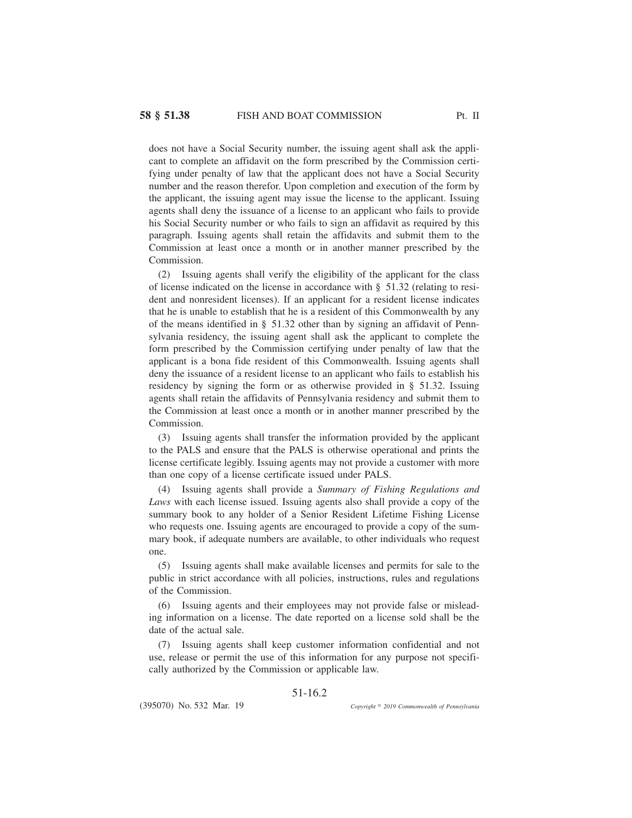does not have a Social Security number, the issuing agent shall ask the applicant to complete an affidavit on the form prescribed by the Commission certifying under penalty of law that the applicant does not have a Social Security number and the reason therefor. Upon completion and execution of the form by the applicant, the issuing agent may issue the license to the applicant. Issuing agents shall deny the issuance of a license to an applicant who fails to provide his Social Security number or who fails to sign an affidavit as required by this paragraph. Issuing agents shall retain the affidavits and submit them to the Commission at least once a month or in another manner prescribed by the Commission.

(2) Issuing agents shall verify the eligibility of the applicant for the class of license indicated on the license in accordance with § 51.32 (relating to resident and nonresident licenses). If an applicant for a resident license indicates that he is unable to establish that he is a resident of this Commonwealth by any of the means identified in § 51.32 other than by signing an affidavit of Pennsylvania residency, the issuing agent shall ask the applicant to complete the form prescribed by the Commission certifying under penalty of law that the applicant is a bona fide resident of this Commonwealth. Issuing agents shall deny the issuance of a resident license to an applicant who fails to establish his residency by signing the form or as otherwise provided in § 51.32. Issuing agents shall retain the affidavits of Pennsylvania residency and submit them to the Commission at least once a month or in another manner prescribed by the Commission.

(3) Issuing agents shall transfer the information provided by the applicant to the PALS and ensure that the PALS is otherwise operational and prints the license certificate legibly. Issuing agents may not provide a customer with more than one copy of a license certificate issued under PALS.

(4) Issuing agents shall provide a *Summary of Fishing Regulations and Laws* with each license issued. Issuing agents also shall provide a copy of the summary book to any holder of a Senior Resident Lifetime Fishing License who requests one. Issuing agents are encouraged to provide a copy of the summary book, if adequate numbers are available, to other individuals who request one.

(5) Issuing agents shall make available licenses and permits for sale to the public in strict accordance with all policies, instructions, rules and regulations of the Commission.

(6) Issuing agents and their employees may not provide false or misleading information on a license. The date reported on a license sold shall be the date of the actual sale.

(7) Issuing agents shall keep customer information confidential and not use, release or permit the use of this information for any purpose not specifically authorized by the Commission or applicable law.

# 51-16.2

(395070) No. 532 Mar. 19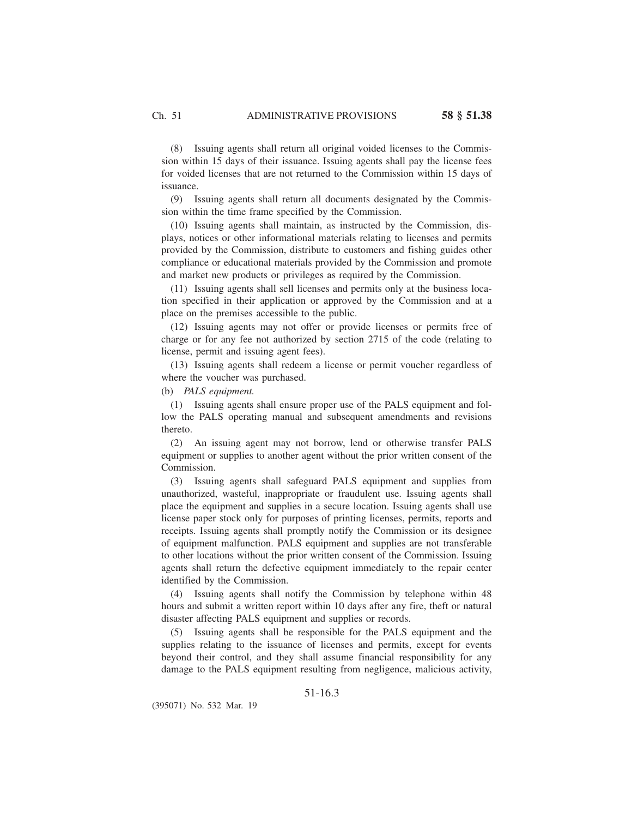(8) Issuing agents shall return all original voided licenses to the Commission within 15 days of their issuance. Issuing agents shall pay the license fees for voided licenses that are not returned to the Commission within 15 days of issuance.

(9) Issuing agents shall return all documents designated by the Commission within the time frame specified by the Commission.

(10) Issuing agents shall maintain, as instructed by the Commission, displays, notices or other informational materials relating to licenses and permits provided by the Commission, distribute to customers and fishing guides other compliance or educational materials provided by the Commission and promote and market new products or privileges as required by the Commission.

(11) Issuing agents shall sell licenses and permits only at the business location specified in their application or approved by the Commission and at a place on the premises accessible to the public.

(12) Issuing agents may not offer or provide licenses or permits free of charge or for any fee not authorized by section 2715 of the code (relating to license, permit and issuing agent fees).

(13) Issuing agents shall redeem a license or permit voucher regardless of where the voucher was purchased.

(b) *PALS equipment.*

(1) Issuing agents shall ensure proper use of the PALS equipment and follow the PALS operating manual and subsequent amendments and revisions thereto.

(2) An issuing agent may not borrow, lend or otherwise transfer PALS equipment or supplies to another agent without the prior written consent of the Commission.

(3) Issuing agents shall safeguard PALS equipment and supplies from unauthorized, wasteful, inappropriate or fraudulent use. Issuing agents shall place the equipment and supplies in a secure location. Issuing agents shall use license paper stock only for purposes of printing licenses, permits, reports and receipts. Issuing agents shall promptly notify the Commission or its designee of equipment malfunction. PALS equipment and supplies are not transferable to other locations without the prior written consent of the Commission. Issuing agents shall return the defective equipment immediately to the repair center identified by the Commission.

(4) Issuing agents shall notify the Commission by telephone within 48 hours and submit a written report within 10 days after any fire, theft or natural disaster affecting PALS equipment and supplies or records.

(5) Issuing agents shall be responsible for the PALS equipment and the supplies relating to the issuance of licenses and permits, except for events beyond their control, and they shall assume financial responsibility for any damage to the PALS equipment resulting from negligence, malicious activity,

(395071) No. 532 Mar. 19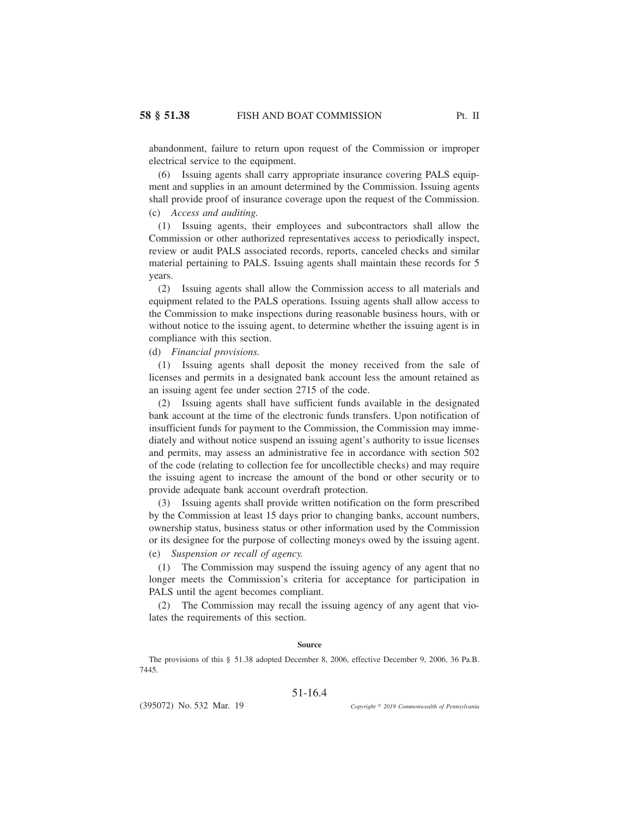abandonment, failure to return upon request of the Commission or improper electrical service to the equipment.

(6) Issuing agents shall carry appropriate insurance covering PALS equipment and supplies in an amount determined by the Commission. Issuing agents shall provide proof of insurance coverage upon the request of the Commission. (c) *Access and auditing.*

(1) Issuing agents, their employees and subcontractors shall allow the Commission or other authorized representatives access to periodically inspect, review or audit PALS associated records, reports, canceled checks and similar material pertaining to PALS. Issuing agents shall maintain these records for 5 years.

(2) Issuing agents shall allow the Commission access to all materials and equipment related to the PALS operations. Issuing agents shall allow access to the Commission to make inspections during reasonable business hours, with or without notice to the issuing agent, to determine whether the issuing agent is in compliance with this section.

(d) *Financial provisions.*

(1) Issuing agents shall deposit the money received from the sale of licenses and permits in a designated bank account less the amount retained as an issuing agent fee under section 2715 of the code.

(2) Issuing agents shall have sufficient funds available in the designated bank account at the time of the electronic funds transfers. Upon notification of insufficient funds for payment to the Commission, the Commission may immediately and without notice suspend an issuing agent's authority to issue licenses and permits, may assess an administrative fee in accordance with section 502 of the code (relating to collection fee for uncollectible checks) and may require the issuing agent to increase the amount of the bond or other security or to provide adequate bank account overdraft protection.

(3) Issuing agents shall provide written notification on the form prescribed by the Commission at least 15 days prior to changing banks, account numbers, ownership status, business status or other information used by the Commission or its designee for the purpose of collecting moneys owed by the issuing agent.

(e) *Suspension or recall of agency.*

(1) The Commission may suspend the issuing agency of any agent that no longer meets the Commission's criteria for acceptance for participation in PALS until the agent becomes compliant.

(2) The Commission may recall the issuing agency of any agent that violates the requirements of this section.

### **Source**

The provisions of this § 51.38 adopted December 8, 2006, effective December 9, 2006, 36 Pa.B. 7445.

### 51-16.4

(395072) No. 532 Mar. 19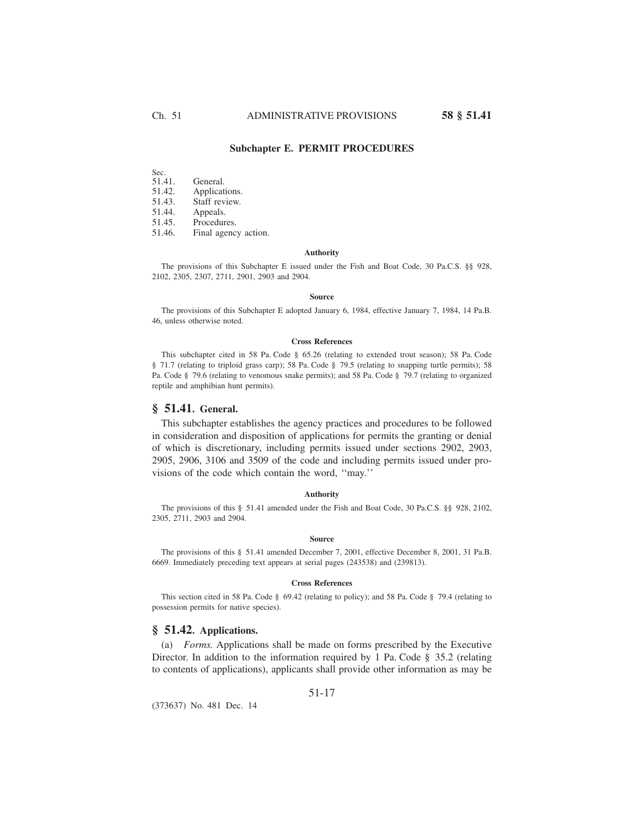## **Subchapter E. PERMIT PROCEDURES**

| Sec.   |                      |
|--------|----------------------|
| 51.41. | General.             |
| 51.42. | Applications.        |
| 51.43. | Staff review.        |
| 51.44. | Appeals.             |
| 51.45. | Procedures.          |
| 51.46. | Final agency action. |

#### **Authority**

The provisions of this Subchapter E issued under the Fish and Boat Code, 30 Pa.C.S. §§ 928, 2102, 2305, 2307, 2711, 2901, 2903 and 2904.

#### **Source**

The provisions of this Subchapter E adopted January 6, 1984, effective January 7, 1984, 14 Pa.B. 46, unless otherwise noted.

### **Cross References**

This subchapter cited in 58 Pa. Code § 65.26 (relating to extended trout season); 58 Pa. Code § 71.7 (relating to triploid grass carp); 58 Pa. Code § 79.5 (relating to snapping turtle permits); 58 Pa. Code § 79.6 (relating to venomous snake permits); and 58 Pa. Code § 79.7 (relating to organized reptile and amphibian hunt permits).

# **§ 51.41. General.**

This subchapter establishes the agency practices and procedures to be followed in consideration and disposition of applications for permits the granting or denial of which is discretionary, including permits issued under sections 2902, 2903, 2905, 2906, 3106 and 3509 of the code and including permits issued under provisions of the code which contain the word, ''may.''

#### **Authority**

The provisions of this § 51.41 amended under the Fish and Boat Code, 30 Pa.C.S. §§ 928, 2102, 2305, 2711, 2903 and 2904.

#### **Source**

The provisions of this § 51.41 amended December 7, 2001, effective December 8, 2001, 31 Pa.B. 6669. Immediately preceding text appears at serial pages (243538) and (239813).

#### **Cross References**

This section cited in 58 Pa. Code § 69.42 (relating to policy); and 58 Pa. Code § 79.4 (relating to possession permits for native species).

# **§ 51.42. Applications.**

(a) *Forms.* Applications shall be made on forms prescribed by the Executive Director. In addition to the information required by 1 Pa. Code § 35.2 (relating to contents of applications), applicants shall provide other information as may be

51-17

(373637) No. 481 Dec. 14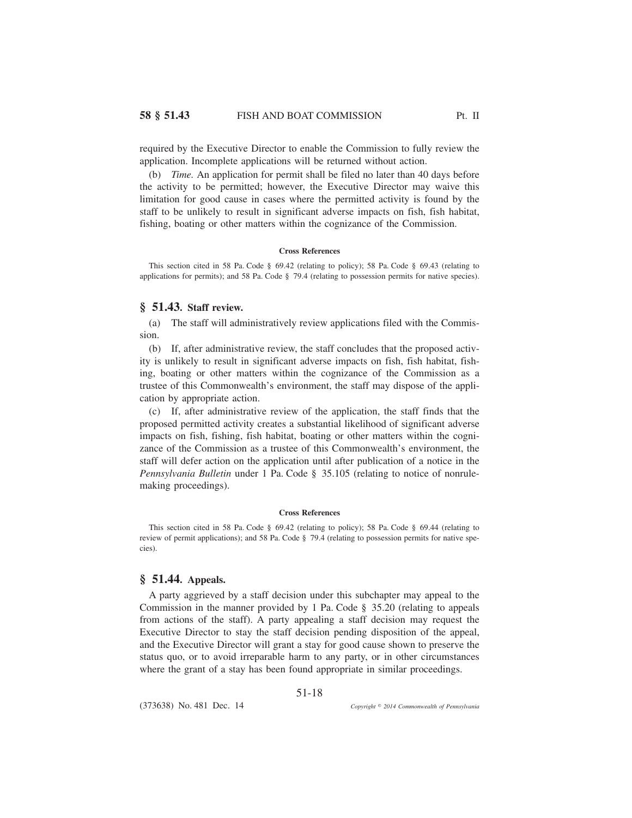required by the Executive Director to enable the Commission to fully review the application. Incomplete applications will be returned without action.

(b) *Time.* An application for permit shall be filed no later than 40 days before the activity to be permitted; however, the Executive Director may waive this limitation for good cause in cases where the permitted activity is found by the staff to be unlikely to result in significant adverse impacts on fish, fish habitat, fishing, boating or other matters within the cognizance of the Commission.

## **Cross References**

This section cited in 58 Pa. Code § 69.42 (relating to policy); 58 Pa. Code § 69.43 (relating to applications for permits); and 58 Pa. Code § 79.4 (relating to possession permits for native species).

# **§ 51.43. Staff review.**

(a) The staff will administratively review applications filed with the Commission.

(b) If, after administrative review, the staff concludes that the proposed activity is unlikely to result in significant adverse impacts on fish, fish habitat, fishing, boating or other matters within the cognizance of the Commission as a trustee of this Commonwealth's environment, the staff may dispose of the application by appropriate action.

(c) If, after administrative review of the application, the staff finds that the proposed permitted activity creates a substantial likelihood of significant adverse impacts on fish, fishing, fish habitat, boating or other matters within the cognizance of the Commission as a trustee of this Commonwealth's environment, the staff will defer action on the application until after publication of a notice in the *Pennsylvania Bulletin* under 1 Pa. Code § 35.105 (relating to notice of nonrulemaking proceedings).

## **Cross References**

This section cited in 58 Pa. Code § 69.42 (relating to policy); 58 Pa. Code § 69.44 (relating to review of permit applications); and 58 Pa. Code § 79.4 (relating to possession permits for native species).

# **§ 51.44. Appeals.**

A party aggrieved by a staff decision under this subchapter may appeal to the Commission in the manner provided by 1 Pa. Code § 35.20 (relating to appeals from actions of the staff). A party appealing a staff decision may request the Executive Director to stay the staff decision pending disposition of the appeal, and the Executive Director will grant a stay for good cause shown to preserve the status quo, or to avoid irreparable harm to any party, or in other circumstances where the grant of a stay has been found appropriate in similar proceedings.

51-18

(373638) No. 481 Dec. 14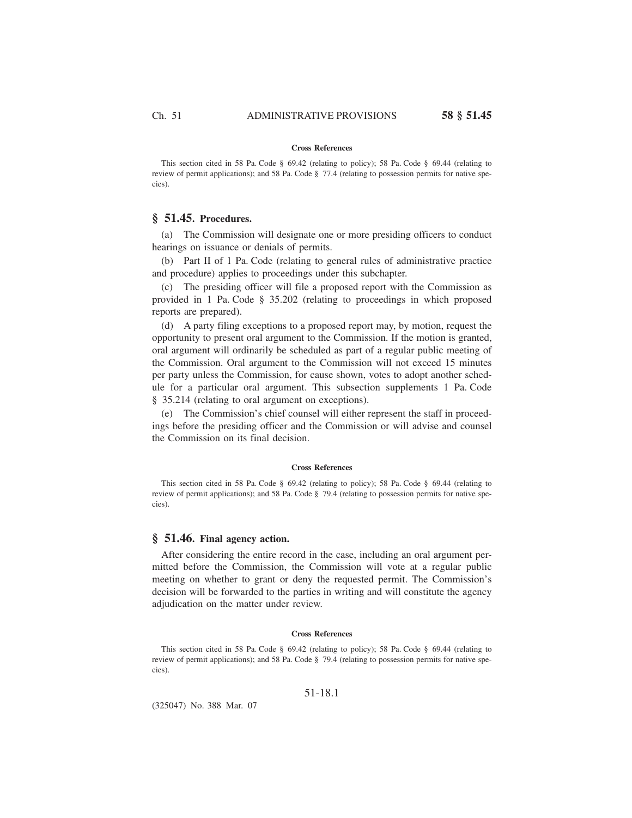### **Cross References**

This section cited in 58 Pa. Code § 69.42 (relating to policy); 58 Pa. Code § 69.44 (relating to review of permit applications); and 58 Pa. Code § 77.4 (relating to possession permits for native species).

# **§ 51.45. Procedures.**

(a) The Commission will designate one or more presiding officers to conduct hearings on issuance or denials of permits.

(b) Part II of 1 Pa. Code (relating to general rules of administrative practice and procedure) applies to proceedings under this subchapter.

(c) The presiding officer will file a proposed report with the Commission as provided in 1 Pa. Code § 35.202 (relating to proceedings in which proposed reports are prepared).

(d) A party filing exceptions to a proposed report may, by motion, request the opportunity to present oral argument to the Commission. If the motion is granted, oral argument will ordinarily be scheduled as part of a regular public meeting of the Commission. Oral argument to the Commission will not exceed 15 minutes per party unless the Commission, for cause shown, votes to adopt another schedule for a particular oral argument. This subsection supplements 1 Pa. Code § 35.214 (relating to oral argument on exceptions).

(e) The Commission's chief counsel will either represent the staff in proceedings before the presiding officer and the Commission or will advise and counsel the Commission on its final decision.

### **Cross References**

This section cited in 58 Pa. Code § 69.42 (relating to policy); 58 Pa. Code § 69.44 (relating to review of permit applications); and 58 Pa. Code § 79.4 (relating to possession permits for native species).

# **§ 51.46. Final agency action.**

After considering the entire record in the case, including an oral argument permitted before the Commission, the Commission will vote at a regular public meeting on whether to grant or deny the requested permit. The Commission's decision will be forwarded to the parties in writing and will constitute the agency adjudication on the matter under review.

#### **Cross References**

This section cited in 58 Pa. Code § 69.42 (relating to policy); 58 Pa. Code § 69.44 (relating to review of permit applications); and 58 Pa. Code § 79.4 (relating to possession permits for native species).

51-18.1

(325047) No. 388 Mar. 07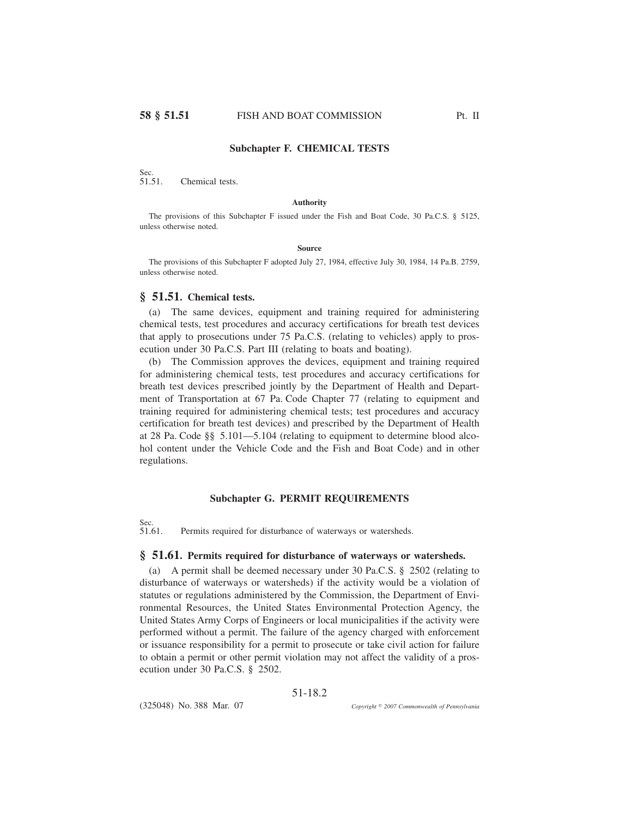## **Subchapter F. CHEMICAL TESTS**

Sec.<br>51.51. Chemical tests.

## **Authority**

The provisions of this Subchapter F issued under the Fish and Boat Code, 30 Pa.C.S. § 5125, unless otherwise noted.

## **Source**

The provisions of this Subchapter F adopted July 27, 1984, effective July 30, 1984, 14 Pa.B. 2759, unless otherwise noted.

# **§ 51.51. Chemical tests.**

(a) The same devices, equipment and training required for administering chemical tests, test procedures and accuracy certifications for breath test devices that apply to prosecutions under 75 Pa.C.S. (relating to vehicles) apply to prosecution under 30 Pa.C.S. Part III (relating to boats and boating).

(b) The Commission approves the devices, equipment and training required for administering chemical tests, test procedures and accuracy certifications for breath test devices prescribed jointly by the Department of Health and Department of Transportation at 67 Pa. Code Chapter 77 (relating to equipment and training required for administering chemical tests; test procedures and accuracy certification for breath test devices) and prescribed by the Department of Health at 28 Pa. Code §§ 5.101—5.104 (relating to equipment to determine blood alcohol content under the Vehicle Code and the Fish and Boat Code) and in other regulations.

## **Subchapter G. PERMIT REQUIREMENTS**

Sec.<br>51.61. Permits required for disturbance of waterways or watersheds.

## **§ 51.61. Permits required for disturbance of waterways or watersheds.**

(a) A permit shall be deemed necessary under 30 Pa.C.S. § 2502 (relating to disturbance of waterways or watersheds) if the activity would be a violation of statutes or regulations administered by the Commission, the Department of Environmental Resources, the United States Environmental Protection Agency, the United States Army Corps of Engineers or local municipalities if the activity were performed without a permit. The failure of the agency charged with enforcement or issuance responsibility for a permit to prosecute or take civil action for failure to obtain a permit or other permit violation may not affect the validity of a prosecution under 30 Pa.C.S. § 2502.

## 51-18.2

(325048) No. 388 Mar. 07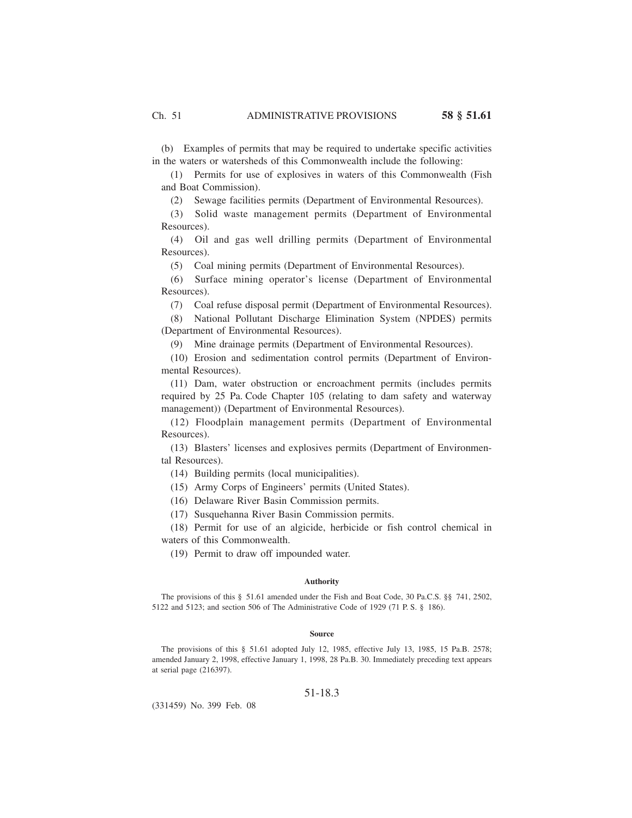(b) Examples of permits that may be required to undertake specific activities in the waters or watersheds of this Commonwealth include the following:

(1) Permits for use of explosives in waters of this Commonwealth (Fish and Boat Commission).

(2) Sewage facilities permits (Department of Environmental Resources).

(3) Solid waste management permits (Department of Environmental Resources).

(4) Oil and gas well drilling permits (Department of Environmental Resources).

(5) Coal mining permits (Department of Environmental Resources).

(6) Surface mining operator's license (Department of Environmental Resources).

(7) Coal refuse disposal permit (Department of Environmental Resources).

(8) National Pollutant Discharge Elimination System (NPDES) permits (Department of Environmental Resources).

(9) Mine drainage permits (Department of Environmental Resources).

(10) Erosion and sedimentation control permits (Department of Environmental Resources).

(11) Dam, water obstruction or encroachment permits (includes permits required by 25 Pa. Code Chapter 105 (relating to dam safety and waterway management)) (Department of Environmental Resources).

(12) Floodplain management permits (Department of Environmental Resources).

(13) Blasters' licenses and explosives permits (Department of Environmental Resources).

(14) Building permits (local municipalities).

(15) Army Corps of Engineers' permits (United States).

(16) Delaware River Basin Commission permits.

(17) Susquehanna River Basin Commission permits.

(18) Permit for use of an algicide, herbicide or fish control chemical in waters of this Commonwealth.

(19) Permit to draw off impounded water.

### **Authority**

The provisions of this § 51.61 amended under the Fish and Boat Code, 30 Pa.C.S. §§ 741, 2502, 5122 and 5123; and section 506 of The Administrative Code of 1929 (71 P. S. § 186).

### **Source**

The provisions of this § 51.61 adopted July 12, 1985, effective July 13, 1985, 15 Pa.B. 2578; amended January 2, 1998, effective January 1, 1998, 28 Pa.B. 30. Immediately preceding text appears at serial page (216397).

## 51-18.3

(331459) No. 399 Feb. 08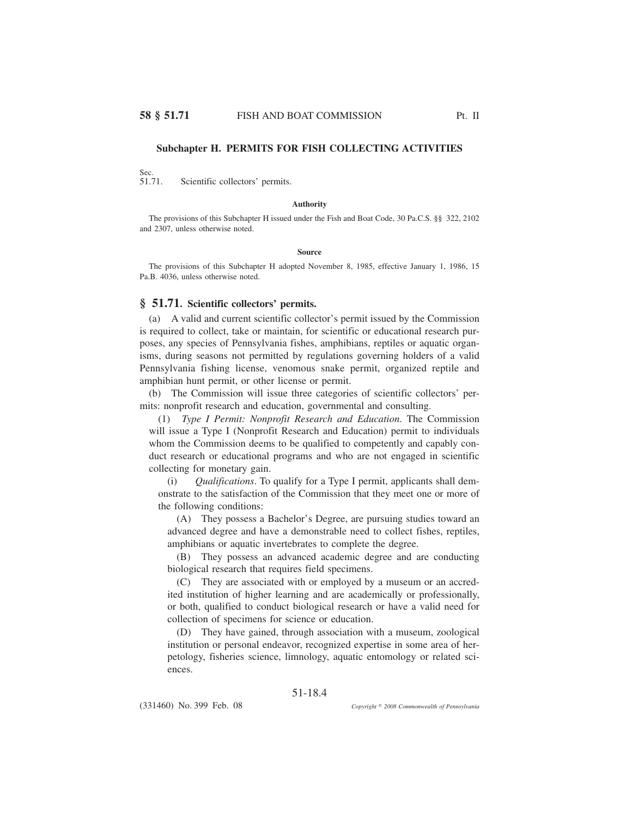Sec.<br>51.71. Scientific collectors' permits.

## **Authority**

The provisions of this Subchapter H issued under the Fish and Boat Code, 30 Pa.C.S. §§ 322, 2102 and 2307, unless otherwise noted.

#### **Source**

The provisions of this Subchapter H adopted November 8, 1985, effective January 1, 1986, 15 Pa.B. 4036, unless otherwise noted.

# **§ 51.71. Scientific collectors' permits.**

(a) A valid and current scientific collector's permit issued by the Commission is required to collect, take or maintain, for scientific or educational research purposes, any species of Pennsylvania fishes, amphibians, reptiles or aquatic organisms, during seasons not permitted by regulations governing holders of a valid Pennsylvania fishing license, venomous snake permit, organized reptile and amphibian hunt permit, or other license or permit.

(b) The Commission will issue three categories of scientific collectors' permits: nonprofit research and education, governmental and consulting.

(1) *Type I Permit: Nonprofit Research and Education*. The Commission will issue a Type I (Nonprofit Research and Education) permit to individuals whom the Commission deems to be qualified to competently and capably conduct research or educational programs and who are not engaged in scientific collecting for monetary gain.

(i) *Qualifications*. To qualify for a Type I permit, applicants shall demonstrate to the satisfaction of the Commission that they meet one or more of the following conditions:

(A) They possess a Bachelor's Degree, are pursuing studies toward an advanced degree and have a demonstrable need to collect fishes, reptiles, amphibians or aquatic invertebrates to complete the degree.

(B) They possess an advanced academic degree and are conducting biological research that requires field specimens.

(C) They are associated with or employed by a museum or an accredited institution of higher learning and are academically or professionally, or both, qualified to conduct biological research or have a valid need for collection of specimens for science or education.

(D) They have gained, through association with a museum, zoological institution or personal endeavor, recognized expertise in some area of herpetology, fisheries science, limnology, aquatic entomology or related sciences.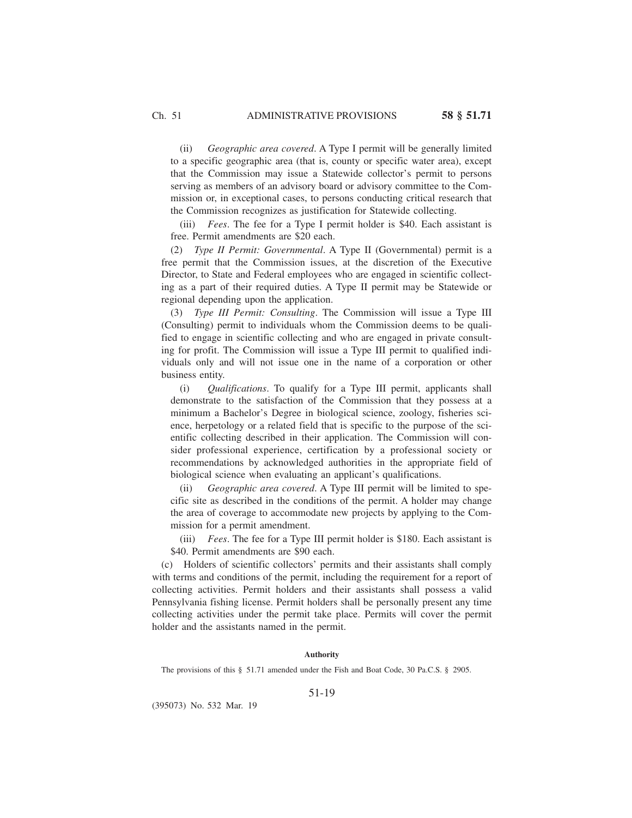(ii) *Geographic area covered*. A Type I permit will be generally limited to a specific geographic area (that is, county or specific water area), except that the Commission may issue a Statewide collector's permit to persons serving as members of an advisory board or advisory committee to the Commission or, in exceptional cases, to persons conducting critical research that the Commission recognizes as justification for Statewide collecting.

(iii) *Fees*. The fee for a Type I permit holder is \$40. Each assistant is free. Permit amendments are \$20 each.

(2) *Type II Permit: Governmental*. A Type II (Governmental) permit is a free permit that the Commission issues, at the discretion of the Executive Director, to State and Federal employees who are engaged in scientific collecting as a part of their required duties. A Type II permit may be Statewide or regional depending upon the application.

(3) *Type III Permit: Consulting*. The Commission will issue a Type III (Consulting) permit to individuals whom the Commission deems to be qualified to engage in scientific collecting and who are engaged in private consulting for profit. The Commission will issue a Type III permit to qualified individuals only and will not issue one in the name of a corporation or other business entity.

(i) *Qualifications*. To qualify for a Type III permit, applicants shall demonstrate to the satisfaction of the Commission that they possess at a minimum a Bachelor's Degree in biological science, zoology, fisheries science, herpetology or a related field that is specific to the purpose of the scientific collecting described in their application. The Commission will consider professional experience, certification by a professional society or recommendations by acknowledged authorities in the appropriate field of biological science when evaluating an applicant's qualifications.

(ii) *Geographic area covered*. A Type III permit will be limited to specific site as described in the conditions of the permit. A holder may change the area of coverage to accommodate new projects by applying to the Commission for a permit amendment.

(iii) *Fees*. The fee for a Type III permit holder is \$180. Each assistant is \$40. Permit amendments are \$90 each.

(c) Holders of scientific collectors' permits and their assistants shall comply with terms and conditions of the permit, including the requirement for a report of collecting activities. Permit holders and their assistants shall possess a valid Pennsylvania fishing license. Permit holders shall be personally present any time collecting activities under the permit take place. Permits will cover the permit holder and the assistants named in the permit.

### **Authority**

The provisions of this § 51.71 amended under the Fish and Boat Code, 30 Pa.C.S. § 2905.

## 51-19

(395073) No. 532 Mar. 19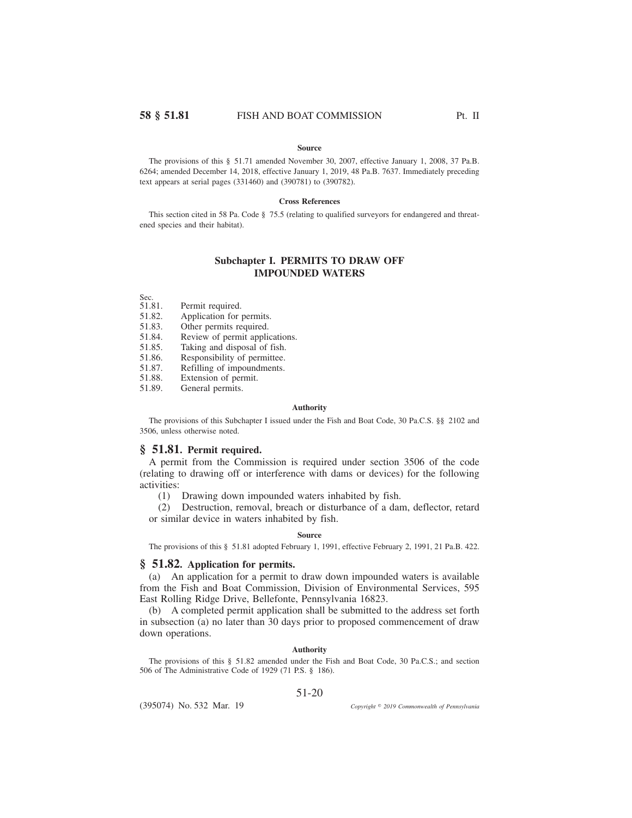### **Source**

The provisions of this § 51.71 amended November 30, 2007, effective January 1, 2008, 37 Pa.B. 6264; amended December 14, 2018, effective January 1, 2019, 48 Pa.B. 7637. Immediately preceding text appears at serial pages (331460) and (390781) to (390782).

### **Cross References**

This section cited in 58 Pa. Code § 75.5 (relating to qualified surveyors for endangered and threatened species and their habitat).

# **Subchapter I. PERMITS TO DRAW OFF IMPOUNDED WATERS**

- Sec.<br>51.81.
- Permit required.
- 51.82. Application for permits.
- 51.83. Other permits required.
- 51.84. Review of permit applications.<br>51.85. Taking and disposal of fish.
- 51.85. Taking and disposal of fish.<br>51.86. Responsibility of permittee.
- 
- 51.86. Responsibility of permittee.<br>51.87. Refilling of impoundments. Refilling of impoundments.
- 51.88. Extension of permit.<br>51.89. General permits.
- General permits.

### **Authority**

The provisions of this Subchapter I issued under the Fish and Boat Code, 30 Pa.C.S. §§ 2102 and 3506, unless otherwise noted.

# **§ 51.81. Permit required.**

A permit from the Commission is required under section 3506 of the code (relating to drawing off or interference with dams or devices) for the following activities:

(1) Drawing down impounded waters inhabited by fish.

(2) Destruction, removal, breach or disturbance of a dam, deflector, retard or similar device in waters inhabited by fish.

#### **Source**

The provisions of this § 51.81 adopted February 1, 1991, effective February 2, 1991, 21 Pa.B. 422.

## **§ 51.82. Application for permits.**

(a) An application for a permit to draw down impounded waters is available from the Fish and Boat Commission, Division of Environmental Services, 595 East Rolling Ridge Drive, Bellefonte, Pennsylvania 16823.

(b) A completed permit application shall be submitted to the address set forth in subsection (a) no later than 30 days prior to proposed commencement of draw down operations.

## **Authority**

The provisions of this § 51.82 amended under the Fish and Boat Code, 30 Pa.C.S.; and section 506 of The Administrative Code of 1929 (71 P.S. § 186).

51-20

(395074) No. 532 Mar. 19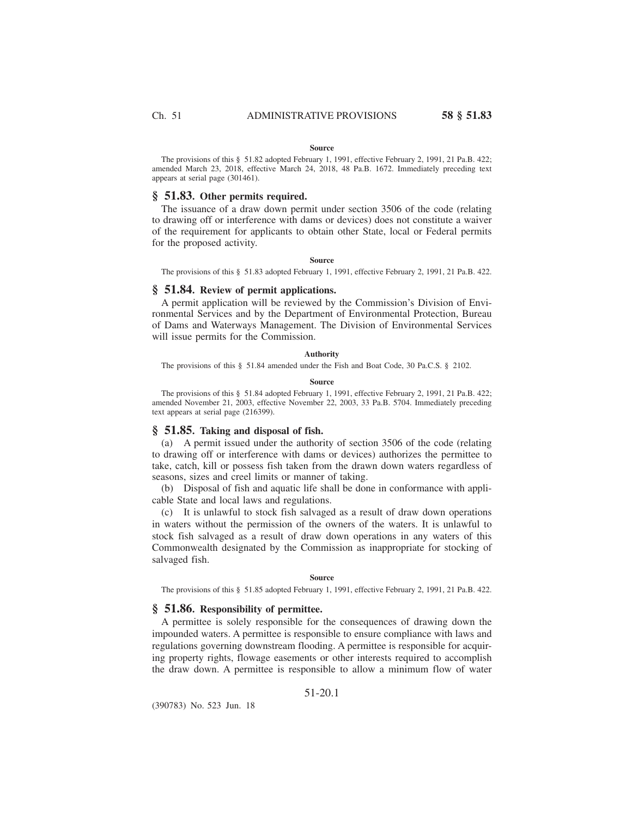#### **Source**

The provisions of this § 51.82 adopted February 1, 1991, effective February 2, 1991, 21 Pa.B. 422; amended March 23, 2018, effective March 24, 2018, 48 Pa.B. 1672. Immediately preceding text appears at serial page (301461).

# **§ 51.83. Other permits required.**

The issuance of a draw down permit under section 3506 of the code (relating to drawing off or interference with dams or devices) does not constitute a waiver of the requirement for applicants to obtain other State, local or Federal permits for the proposed activity.

### **Source**

The provisions of this § 51.83 adopted February 1, 1991, effective February 2, 1991, 21 Pa.B. 422.

# **§ 51.84. Review of permit applications.**

A permit application will be reviewed by the Commission's Division of Environmental Services and by the Department of Environmental Protection, Bureau of Dams and Waterways Management. The Division of Environmental Services will issue permits for the Commission.

# **Authority**

The provisions of this § 51.84 amended under the Fish and Boat Code, 30 Pa.C.S. § 2102.

### **Source**

The provisions of this § 51.84 adopted February 1, 1991, effective February 2, 1991, 21 Pa.B. 422; amended November 21, 2003, effective November 22, 2003, 33 Pa.B. 5704. Immediately preceding text appears at serial page (216399).

## **§ 51.85. Taking and disposal of fish.**

(a) A permit issued under the authority of section 3506 of the code (relating to drawing off or interference with dams or devices) authorizes the permittee to take, catch, kill or possess fish taken from the drawn down waters regardless of seasons, sizes and creel limits or manner of taking.

(b) Disposal of fish and aquatic life shall be done in conformance with applicable State and local laws and regulations.

(c) It is unlawful to stock fish salvaged as a result of draw down operations in waters without the permission of the owners of the waters. It is unlawful to stock fish salvaged as a result of draw down operations in any waters of this Commonwealth designated by the Commission as inappropriate for stocking of salvaged fish.

#### **Source**

The provisions of this § 51.85 adopted February 1, 1991, effective February 2, 1991, 21 Pa.B. 422.

# **§ 51.86. Responsibility of permittee.**

A permittee is solely responsible for the consequences of drawing down the impounded waters. A permittee is responsible to ensure compliance with laws and regulations governing downstream flooding. A permittee is responsible for acquiring property rights, flowage easements or other interests required to accomplish the draw down. A permittee is responsible to allow a minimum flow of water

51-20.1

(390783) No. 523 Jun. 18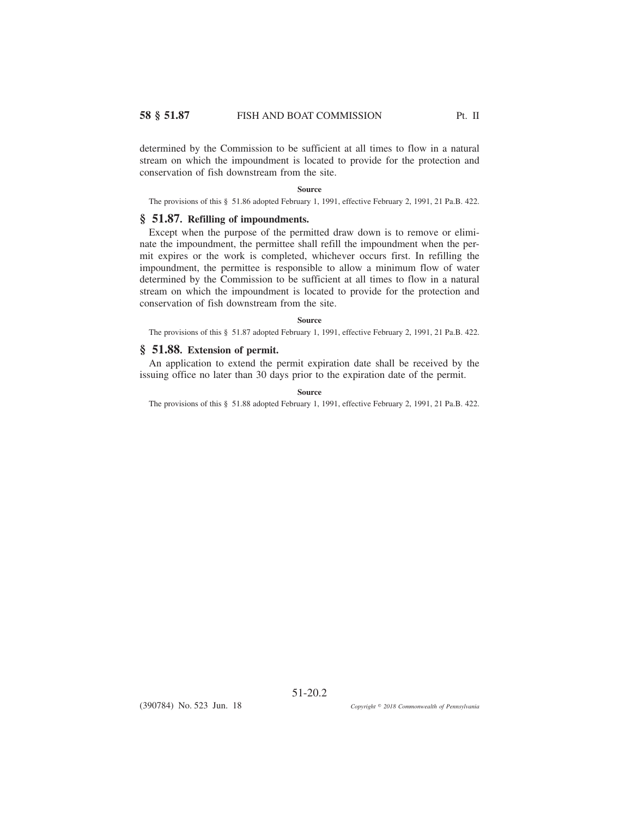determined by the Commission to be sufficient at all times to flow in a natural stream on which the impoundment is located to provide for the protection and conservation of fish downstream from the site.

## **Source**

The provisions of this § 51.86 adopted February 1, 1991, effective February 2, 1991, 21 Pa.B. 422.

# **§ 51.87. Refilling of impoundments.**

Except when the purpose of the permitted draw down is to remove or eliminate the impoundment, the permittee shall refill the impoundment when the permit expires or the work is completed, whichever occurs first. In refilling the impoundment, the permittee is responsible to allow a minimum flow of water determined by the Commission to be sufficient at all times to flow in a natural stream on which the impoundment is located to provide for the protection and conservation of fish downstream from the site.

#### **Source**

The provisions of this § 51.87 adopted February 1, 1991, effective February 2, 1991, 21 Pa.B. 422.

## **§ 51.88. Extension of permit.**

An application to extend the permit expiration date shall be received by the issuing office no later than 30 days prior to the expiration date of the permit.

### **Source**

51-20.2

The provisions of this § 51.88 adopted February 1, 1991, effective February 2, 1991, 21 Pa.B. 422.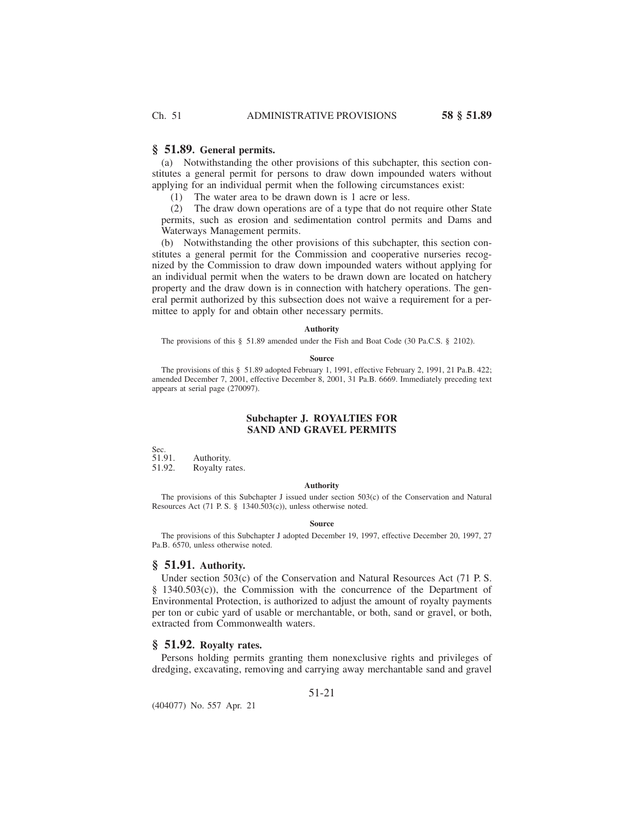# **§ 51.89. General permits.**

(a) Notwithstanding the other provisions of this subchapter, this section constitutes a general permit for persons to draw down impounded waters without applying for an individual permit when the following circumstances exist:

(1) The water area to be drawn down is 1 acre or less.

(2) The draw down operations are of a type that do not require other State permits, such as erosion and sedimentation control permits and Dams and Waterways Management permits.

(b) Notwithstanding the other provisions of this subchapter, this section constitutes a general permit for the Commission and cooperative nurseries recognized by the Commission to draw down impounded waters without applying for an individual permit when the waters to be drawn down are located on hatchery property and the draw down is in connection with hatchery operations. The general permit authorized by this subsection does not waive a requirement for a permittee to apply for and obtain other necessary permits.

## **Authority**

The provisions of this § 51.89 amended under the Fish and Boat Code (30 Pa.C.S. § 2102).

#### **Source**

The provisions of this § 51.89 adopted February 1, 1991, effective February 2, 1991, 21 Pa.B. 422; amended December 7, 2001, effective December 8, 2001, 31 Pa.B. 6669. Immediately preceding text appears at serial page (270097).

## **Subchapter J. ROYALTIES FOR SAND AND GRAVEL PERMITS**

Sec.<br>51.91. 51.91. Authority.<br>51.92. Rovalty ra Royalty rates.

### **Authority**

The provisions of this Subchapter J issued under section 503(c) of the Conservation and Natural Resources Act (71 P. S. § 1340.503(c)), unless otherwise noted.

### **Source**

The provisions of this Subchapter J adopted December 19, 1997, effective December 20, 1997, 27 Pa.B. 6570, unless otherwise noted.

# **§ 51.91. Authority.**

Under section 503(c) of the Conservation and Natural Resources Act (71 P. S. § 1340.503(c)), the Commission with the concurrence of the Department of Environmental Protection, is authorized to adjust the amount of royalty payments per ton or cubic yard of usable or merchantable, or both, sand or gravel, or both, extracted from Commonwealth waters.

# **§ 51.92. Royalty rates.**

Persons holding permits granting them nonexclusive rights and privileges of dredging, excavating, removing and carrying away merchantable sand and gravel

51-21

(404077) No. 557 Apr. 21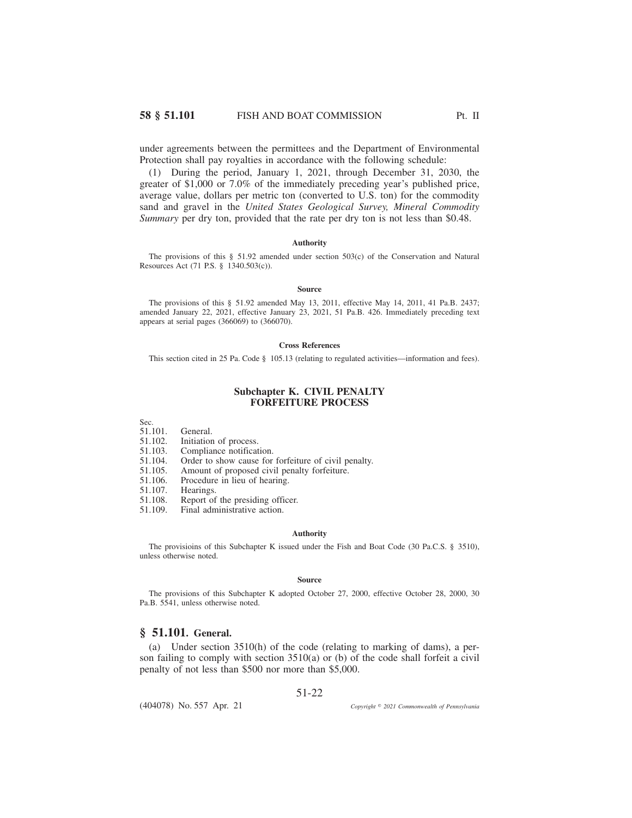under agreements between the permittees and the Department of Environmental Protection shall pay royalties in accordance with the following schedule:

(1) During the period, January 1, 2021, through December 31, 2030, the greater of \$1,000 or 7.0% of the immediately preceding year's published price, average value, dollars per metric ton (converted to U.S. ton) for the commodity sand and gravel in the *United States Geological Survey, Mineral Commodity Summary* per dry ton, provided that the rate per dry ton is not less than \$0.48.

### **Authority**

The provisions of this § 51.92 amended under section 503(c) of the Conservation and Natural Resources Act (71 P.S. § 1340.503(c)).

### **Source**

The provisions of this § 51.92 amended May 13, 2011, effective May 14, 2011, 41 Pa.B. 2437; amended January 22, 2021, effective January 23, 2021, 51 Pa.B. 426. Immediately preceding text appears at serial pages (366069) to (366070).

## **Cross References**

This section cited in 25 Pa. Code § 105.13 (relating to regulated activities—information and fees).

## **Subchapter K. CIVIL PENALTY FORFEITURE PROCESS**

Sec.<br>51.101.

51.101. General.<br>51.102. Initiation

51.102. Initiation of process.<br>51.103. Compliance notificat

51.103. Compliance notification.<br>51.104. Order to show cause for

51.104. Order to show cause for forfeiture of civil penalty.<br>51.105. Amount of proposed civil penalty forfeiture.

51.105. Amount of proposed civil penalty forfeiture.<br>51.106. Procedure in lieu of hearing.

Procedure in lieu of hearing.

51.107. Hearings.<br>51.108. Report of 51.108. Report of the presiding officer.<br>51.109. Final administrative action.

Final administrative action.

## **Authority**

The provisioins of this Subchapter K issued under the Fish and Boat Code (30 Pa.C.S. § 3510), unless otherwise noted.

### **Source**

The provisions of this Subchapter K adopted October 27, 2000, effective October 28, 2000, 30 Pa.B. 5541, unless otherwise noted.

# **§ 51.101. General.**

(a) Under section 3510(h) of the code (relating to marking of dams), a person failing to comply with section 3510(a) or (b) of the code shall forfeit a civil penalty of not less than \$500 nor more than \$5,000.

## 51-22

(404078) No. 557 Apr. 21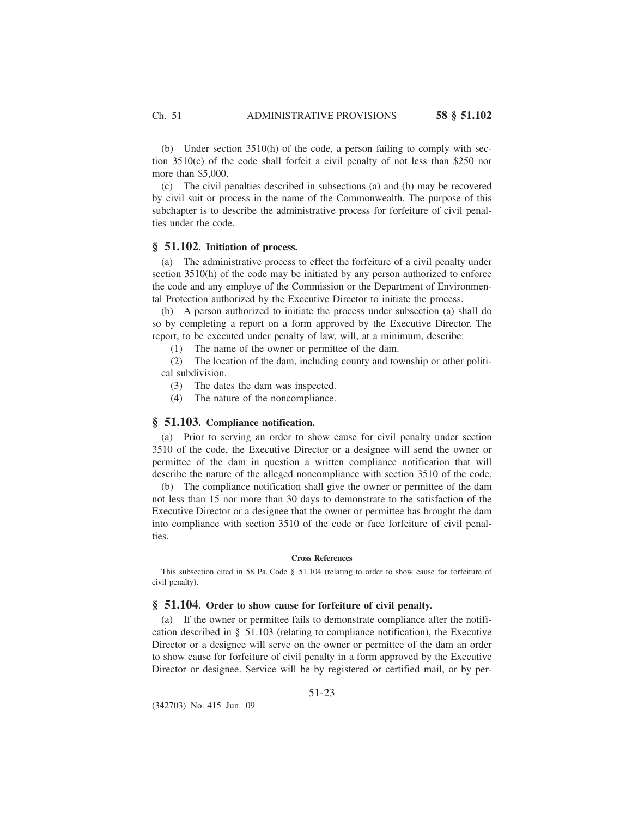(b) Under section 3510(h) of the code, a person failing to comply with section 3510(c) of the code shall forfeit a civil penalty of not less than \$250 nor more than \$5,000.

(c) The civil penalties described in subsections (a) and (b) may be recovered by civil suit or process in the name of the Commonwealth. The purpose of this subchapter is to describe the administrative process for forfeiture of civil penalties under the code.

# **§ 51.102. Initiation of process.**

(a) The administrative process to effect the forfeiture of a civil penalty under section 3510(h) of the code may be initiated by any person authorized to enforce the code and any employe of the Commission or the Department of Environmental Protection authorized by the Executive Director to initiate the process.

(b) A person authorized to initiate the process under subsection (a) shall do so by completing a report on a form approved by the Executive Director. The report, to be executed under penalty of law, will, at a minimum, describe:

(1) The name of the owner or permittee of the dam.

(2) The location of the dam, including county and township or other political subdivision.

(3) The dates the dam was inspected.

(4) The nature of the noncompliance.

## **§ 51.103. Compliance notification.**

(a) Prior to serving an order to show cause for civil penalty under section 3510 of the code, the Executive Director or a designee will send the owner or permittee of the dam in question a written compliance notification that will describe the nature of the alleged noncompliance with section 3510 of the code.

(b) The compliance notification shall give the owner or permittee of the dam not less than 15 nor more than 30 days to demonstrate to the satisfaction of the Executive Director or a designee that the owner or permittee has brought the dam into compliance with section 3510 of the code or face forfeiture of civil penalties.

### **Cross References**

This subsection cited in 58 Pa. Code § 51.104 (relating to order to show cause for forfeiture of civil penalty).

# **§ 51.104. Order to show cause for forfeiture of civil penalty.**

(a) If the owner or permittee fails to demonstrate compliance after the notification described in § 51.103 (relating to compliance notification), the Executive Director or a designee will serve on the owner or permittee of the dam an order to show cause for forfeiture of civil penalty in a form approved by the Executive Director or designee. Service will be by registered or certified mail, or by per-

51-23

(342703) No. 415 Jun. 09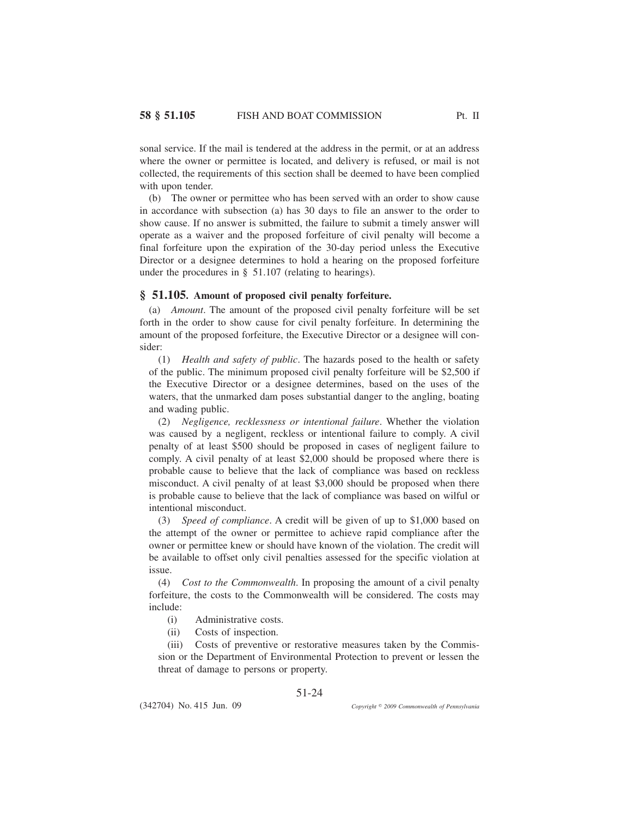sonal service. If the mail is tendered at the address in the permit, or at an address where the owner or permittee is located, and delivery is refused, or mail is not collected, the requirements of this section shall be deemed to have been complied with upon tender.

(b) The owner or permittee who has been served with an order to show cause in accordance with subsection (a) has 30 days to file an answer to the order to show cause. If no answer is submitted, the failure to submit a timely answer will operate as a waiver and the proposed forfeiture of civil penalty will become a final forfeiture upon the expiration of the 30-day period unless the Executive Director or a designee determines to hold a hearing on the proposed forfeiture under the procedures in § 51.107 (relating to hearings).

# **§ 51.105. Amount of proposed civil penalty forfeiture.**

(a) *Amount*. The amount of the proposed civil penalty forfeiture will be set forth in the order to show cause for civil penalty forfeiture. In determining the amount of the proposed forfeiture, the Executive Director or a designee will consider:

(1) *Health and safety of public*. The hazards posed to the health or safety of the public. The minimum proposed civil penalty forfeiture will be \$2,500 if the Executive Director or a designee determines, based on the uses of the waters, that the unmarked dam poses substantial danger to the angling, boating and wading public.

(2) *Negligence, recklessness or intentional failure*. Whether the violation was caused by a negligent, reckless or intentional failure to comply. A civil penalty of at least \$500 should be proposed in cases of negligent failure to comply. A civil penalty of at least \$2,000 should be proposed where there is probable cause to believe that the lack of compliance was based on reckless misconduct. A civil penalty of at least \$3,000 should be proposed when there is probable cause to believe that the lack of compliance was based on wilful or intentional misconduct.

(3) *Speed of compliance*. A credit will be given of up to \$1,000 based on the attempt of the owner or permittee to achieve rapid compliance after the owner or permittee knew or should have known of the violation. The credit will be available to offset only civil penalties assessed for the specific violation at issue.

(4) *Cost to the Commonwealth*. In proposing the amount of a civil penalty forfeiture, the costs to the Commonwealth will be considered. The costs may include:

- (i) Administrative costs.
- (ii) Costs of inspection.

(342704) No. 415 Jun. 09

(iii) Costs of preventive or restorative measures taken by the Commission or the Department of Environmental Protection to prevent or lessen the threat of damage to persons or property.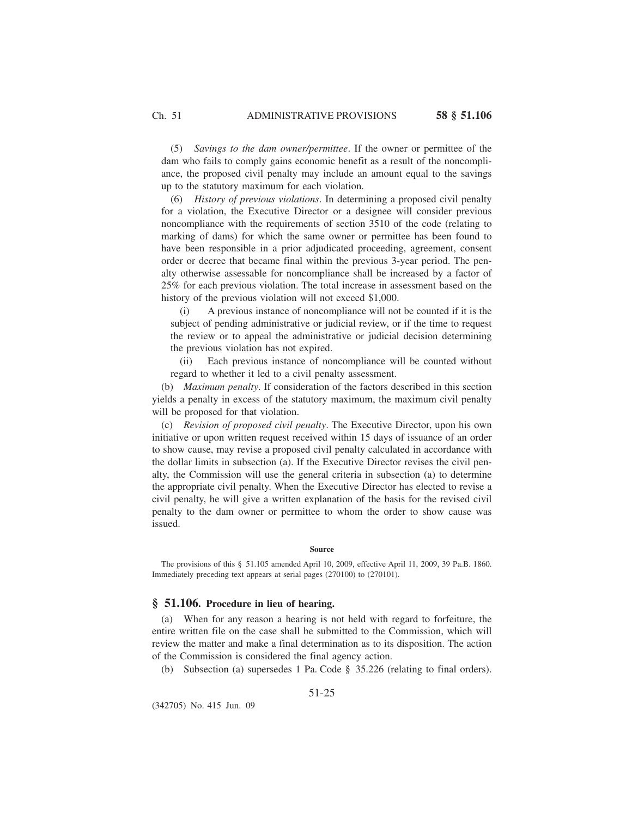(5) *Savings to the dam owner/permittee*. If the owner or permittee of the dam who fails to comply gains economic benefit as a result of the noncompliance, the proposed civil penalty may include an amount equal to the savings up to the statutory maximum for each violation.

(6) *History of previous violations*. In determining a proposed civil penalty for a violation, the Executive Director or a designee will consider previous noncompliance with the requirements of section 3510 of the code (relating to marking of dams) for which the same owner or permittee has been found to have been responsible in a prior adjudicated proceeding, agreement, consent order or decree that became final within the previous 3-year period. The penalty otherwise assessable for noncompliance shall be increased by a factor of 25% for each previous violation. The total increase in assessment based on the history of the previous violation will not exceed \$1,000.

(i) A previous instance of noncompliance will not be counted if it is the subject of pending administrative or judicial review, or if the time to request the review or to appeal the administrative or judicial decision determining the previous violation has not expired.

(ii) Each previous instance of noncompliance will be counted without regard to whether it led to a civil penalty assessment.

(b) *Maximum penalty*. If consideration of the factors described in this section yields a penalty in excess of the statutory maximum, the maximum civil penalty will be proposed for that violation.

(c) *Revision of proposed civil penalty*. The Executive Director, upon his own initiative or upon written request received within 15 days of issuance of an order to show cause, may revise a proposed civil penalty calculated in accordance with the dollar limits in subsection (a). If the Executive Director revises the civil penalty, the Commission will use the general criteria in subsection (a) to determine the appropriate civil penalty. When the Executive Director has elected to revise a civil penalty, he will give a written explanation of the basis for the revised civil penalty to the dam owner or permittee to whom the order to show cause was issued.

### **Source**

The provisions of this § 51.105 amended April 10, 2009, effective April 11, 2009, 39 Pa.B. 1860. Immediately preceding text appears at serial pages (270100) to (270101).

# **§ 51.106. Procedure in lieu of hearing.**

When for any reason a hearing is not held with regard to forfeiture, the entire written file on the case shall be submitted to the Commission, which will review the matter and make a final determination as to its disposition. The action of the Commission is considered the final agency action.

(b) Subsection (a) supersedes 1 Pa. Code § 35.226 (relating to final orders).

51-25

(342705) No. 415 Jun. 09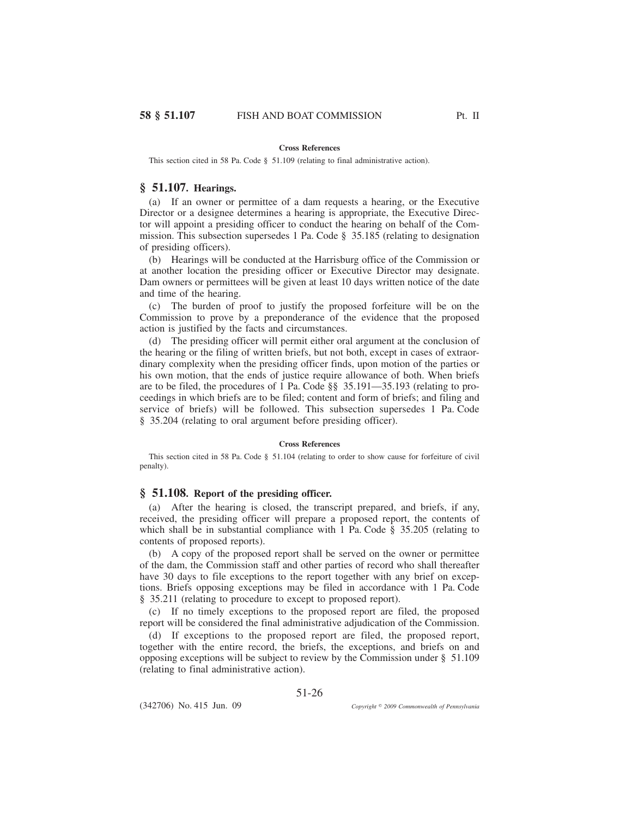### **Cross References**

This section cited in 58 Pa. Code § 51.109 (relating to final administrative action).

# **§ 51.107. Hearings.**

(a) If an owner or permittee of a dam requests a hearing, or the Executive Director or a designee determines a hearing is appropriate, the Executive Director will appoint a presiding officer to conduct the hearing on behalf of the Commission. This subsection supersedes 1 Pa. Code § 35.185 (relating to designation of presiding officers).

(b) Hearings will be conducted at the Harrisburg office of the Commission or at another location the presiding officer or Executive Director may designate. Dam owners or permittees will be given at least 10 days written notice of the date and time of the hearing.

(c) The burden of proof to justify the proposed forfeiture will be on the Commission to prove by a preponderance of the evidence that the proposed action is justified by the facts and circumstances.

(d) The presiding officer will permit either oral argument at the conclusion of the hearing or the filing of written briefs, but not both, except in cases of extraordinary complexity when the presiding officer finds, upon motion of the parties or his own motion, that the ends of justice require allowance of both. When briefs are to be filed, the procedures of 1 Pa. Code §§ 35.191—35.193 (relating to proceedings in which briefs are to be filed; content and form of briefs; and filing and service of briefs) will be followed. This subsection supersedes 1 Pa. Code § 35.204 (relating to oral argument before presiding officer).

### **Cross References**

This section cited in 58 Pa. Code § 51.104 (relating to order to show cause for forfeiture of civil penalty).

# **§ 51.108. Report of the presiding officer.**

(a) After the hearing is closed, the transcript prepared, and briefs, if any, received, the presiding officer will prepare a proposed report, the contents of which shall be in substantial compliance with 1 Pa. Code § 35.205 (relating to contents of proposed reports).

(b) A copy of the proposed report shall be served on the owner or permittee of the dam, the Commission staff and other parties of record who shall thereafter have 30 days to file exceptions to the report together with any brief on exceptions. Briefs opposing exceptions may be filed in accordance with 1 Pa. Code § 35.211 (relating to procedure to except to proposed report).

(c) If no timely exceptions to the proposed report are filed, the proposed report will be considered the final administrative adjudication of the Commission.

(d) If exceptions to the proposed report are filed, the proposed report, together with the entire record, the briefs, the exceptions, and briefs on and opposing exceptions will be subject to review by the Commission under § 51.109 (relating to final administrative action).

51-26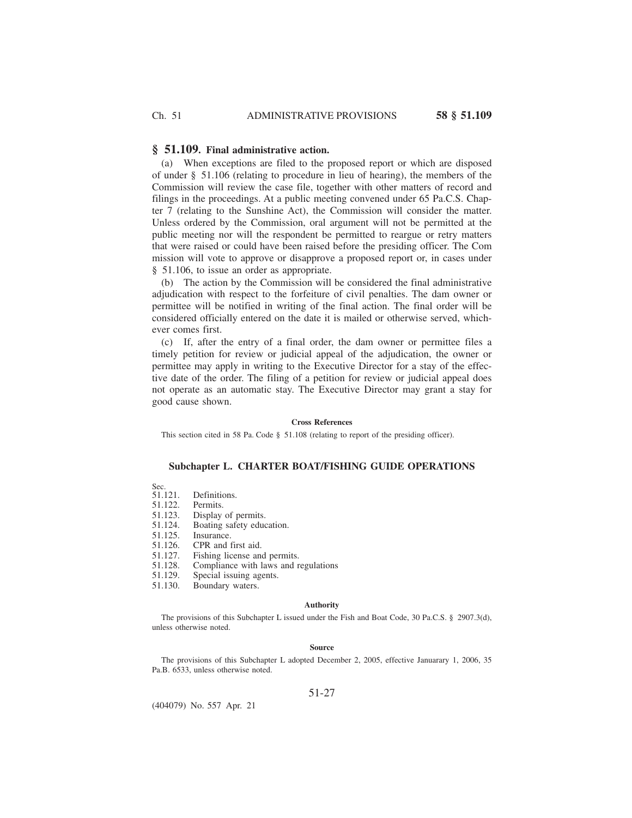## **§ 51.109. Final administrative action.**

(a) When exceptions are filed to the proposed report or which are disposed of under § 51.106 (relating to procedure in lieu of hearing), the members of the Commission will review the case file, together with other matters of record and filings in the proceedings. At a public meeting convened under 65 Pa.C.S. Chapter 7 (relating to the Sunshine Act), the Commission will consider the matter. Unless ordered by the Commission, oral argument will not be permitted at the public meeting nor will the respondent be permitted to reargue or retry matters that were raised or could have been raised before the presiding officer. The Com mission will vote to approve or disapprove a proposed report or, in cases under § 51.106, to issue an order as appropriate.

(b) The action by the Commission will be considered the final administrative adjudication with respect to the forfeiture of civil penalties. The dam owner or permittee will be notified in writing of the final action. The final order will be considered officially entered on the date it is mailed or otherwise served, whichever comes first.

(c) If, after the entry of a final order, the dam owner or permittee files a timely petition for review or judicial appeal of the adjudication, the owner or permittee may apply in writing to the Executive Director for a stay of the effective date of the order. The filing of a petition for review or judicial appeal does not operate as an automatic stay. The Executive Director may grant a stay for good cause shown.

### **Cross References**

This section cited in 58 Pa. Code § 51.108 (relating to report of the presiding officer).

# **Subchapter L. CHARTER BOAT/FISHING GUIDE OPERATIONS**

- Sec.<br>51.121.
- 51.121. Definitions.<br>51.122. Permits. Permits.
- 51.123. Display of permits.
- 
- 51.124. Boating safety education.<br>51.125. Insurance. Insurance.
- 51.126. CPR and first aid.
- 51.127. Fishing license and permits.
- 51.128. Compliance with laws and regulations
- 51.129. Special issuing agents.
- 51.130. Boundary waters.

### **Authority**

The provisions of this Subchapter L issued under the Fish and Boat Code, 30 Pa.C.S. § 2907.3(d), unless otherwise noted.

### **Source**

The provisions of this Subchapter L adopted December 2, 2005, effective Januarary 1, 2006, 35 Pa.B. 6533, unless otherwise noted.

## 51-27

(404079) No. 557 Apr. 21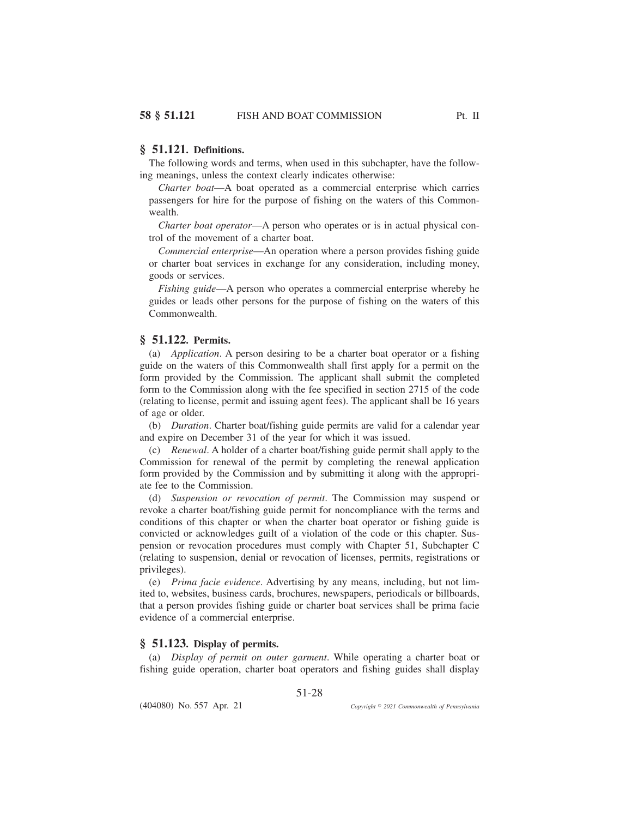The following words and terms, when used in this subchapter, have the following meanings, unless the context clearly indicates otherwise:

*Charter boat*—A boat operated as a commercial enterprise which carries passengers for hire for the purpose of fishing on the waters of this Commonwealth.

*Charter boat operator*—A person who operates or is in actual physical control of the movement of a charter boat.

*Commercial enterprise*—An operation where a person provides fishing guide or charter boat services in exchange for any consideration, including money, goods or services.

*Fishing guide*—A person who operates a commercial enterprise whereby he guides or leads other persons for the purpose of fishing on the waters of this Commonwealth.

# **§ 51.122. Permits.**

(a) *Application*. A person desiring to be a charter boat operator or a fishing guide on the waters of this Commonwealth shall first apply for a permit on the form provided by the Commission. The applicant shall submit the completed form to the Commission along with the fee specified in section 2715 of the code (relating to license, permit and issuing agent fees). The applicant shall be 16 years of age or older.

(b) *Duration*. Charter boat/fishing guide permits are valid for a calendar year and expire on December 31 of the year for which it was issued.

(c) *Renewal*. A holder of a charter boat/fishing guide permit shall apply to the Commission for renewal of the permit by completing the renewal application form provided by the Commission and by submitting it along with the appropriate fee to the Commission.

(d) *Suspension or revocation of permit*. The Commission may suspend or revoke a charter boat/fishing guide permit for noncompliance with the terms and conditions of this chapter or when the charter boat operator or fishing guide is convicted or acknowledges guilt of a violation of the code or this chapter. Suspension or revocation procedures must comply with Chapter 51, Subchapter C (relating to suspension, denial or revocation of licenses, permits, registrations or privileges).

(e) *Prima facie evidence*. Advertising by any means, including, but not limited to, websites, business cards, brochures, newspapers, periodicals or billboards, that a person provides fishing guide or charter boat services shall be prima facie evidence of a commercial enterprise.

# **§ 51.123. Display of permits.**

(a) *Display of permit on outer garment*. While operating a charter boat or fishing guide operation, charter boat operators and fishing guides shall display

51-28

(404080) No. 557 Apr. 21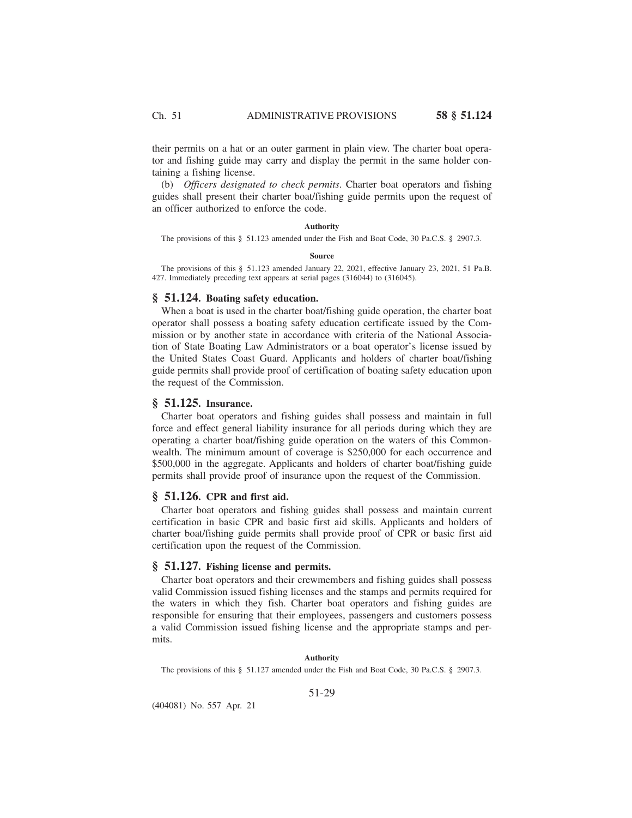their permits on a hat or an outer garment in plain view. The charter boat operator and fishing guide may carry and display the permit in the same holder containing a fishing license.

(b) *Officers designated to check permits*. Charter boat operators and fishing guides shall present their charter boat/fishing guide permits upon the request of an officer authorized to enforce the code.

## **Authority**

The provisions of this § 51.123 amended under the Fish and Boat Code, 30 Pa.C.S. § 2907.3.

### **Source**

The provisions of this § 51.123 amended January 22, 2021, effective January 23, 2021, 51 Pa.B. 427. Immediately preceding text appears at serial pages (316044) to (316045).

# **§ 51.124. Boating safety education.**

When a boat is used in the charter boat/fishing guide operation, the charter boat operator shall possess a boating safety education certificate issued by the Commission or by another state in accordance with criteria of the National Association of State Boating Law Administrators or a boat operator's license issued by the United States Coast Guard. Applicants and holders of charter boat/fishing guide permits shall provide proof of certification of boating safety education upon the request of the Commission.

# **§ 51.125. Insurance.**

Charter boat operators and fishing guides shall possess and maintain in full force and effect general liability insurance for all periods during which they are operating a charter boat/fishing guide operation on the waters of this Commonwealth. The minimum amount of coverage is \$250,000 for each occurrence and \$500,000 in the aggregate. Applicants and holders of charter boat/fishing guide permits shall provide proof of insurance upon the request of the Commission.

# **§ 51.126. CPR and first aid.**

Charter boat operators and fishing guides shall possess and maintain current certification in basic CPR and basic first aid skills. Applicants and holders of charter boat/fishing guide permits shall provide proof of CPR or basic first aid certification upon the request of the Commission.

# **§ 51.127. Fishing license and permits.**

Charter boat operators and their crewmembers and fishing guides shall possess valid Commission issued fishing licenses and the stamps and permits required for the waters in which they fish. Charter boat operators and fishing guides are responsible for ensuring that their employees, passengers and customers possess a valid Commission issued fishing license and the appropriate stamps and permits.

## **Authority**

The provisions of this § 51.127 amended under the Fish and Boat Code, 30 Pa.C.S. § 2907.3.

## 51-29

(404081) No. 557 Apr. 21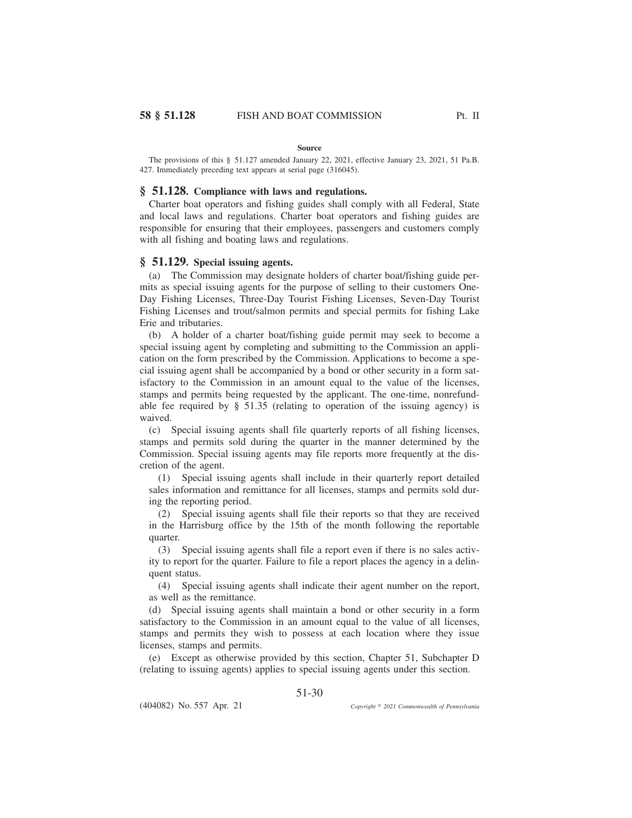#### **Source**

The provisions of this § 51.127 amended January 22, 2021, effective January 23, 2021, 51 Pa.B. 427. Immediately preceding text appears at serial page (316045).

# **§ 51.128. Compliance with laws and regulations.**

Charter boat operators and fishing guides shall comply with all Federal, State and local laws and regulations. Charter boat operators and fishing guides are responsible for ensuring that their employees, passengers and customers comply with all fishing and boating laws and regulations.

# **§ 51.129. Special issuing agents.**

(a) The Commission may designate holders of charter boat/fishing guide permits as special issuing agents for the purpose of selling to their customers One-Day Fishing Licenses, Three-Day Tourist Fishing Licenses, Seven-Day Tourist Fishing Licenses and trout/salmon permits and special permits for fishing Lake Erie and tributaries.

(b) A holder of a charter boat/fishing guide permit may seek to become a special issuing agent by completing and submitting to the Commission an application on the form prescribed by the Commission. Applications to become a special issuing agent shall be accompanied by a bond or other security in a form satisfactory to the Commission in an amount equal to the value of the licenses, stamps and permits being requested by the applicant. The one-time, nonrefundable fee required by  $\S$  51.35 (relating to operation of the issuing agency) is waived.

(c) Special issuing agents shall file quarterly reports of all fishing licenses, stamps and permits sold during the quarter in the manner determined by the Commission. Special issuing agents may file reports more frequently at the discretion of the agent.

(1) Special issuing agents shall include in their quarterly report detailed sales information and remittance for all licenses, stamps and permits sold during the reporting period.

(2) Special issuing agents shall file their reports so that they are received in the Harrisburg office by the 15th of the month following the reportable quarter.

(3) Special issuing agents shall file a report even if there is no sales activity to report for the quarter. Failure to file a report places the agency in a delinquent status.

(4) Special issuing agents shall indicate their agent number on the report, as well as the remittance.

(d) Special issuing agents shall maintain a bond or other security in a form satisfactory to the Commission in an amount equal to the value of all licenses, stamps and permits they wish to possess at each location where they issue licenses, stamps and permits.

(e) Except as otherwise provided by this section, Chapter 51, Subchapter D (relating to issuing agents) applies to special issuing agents under this section.

(404082) No. 557 Apr. 21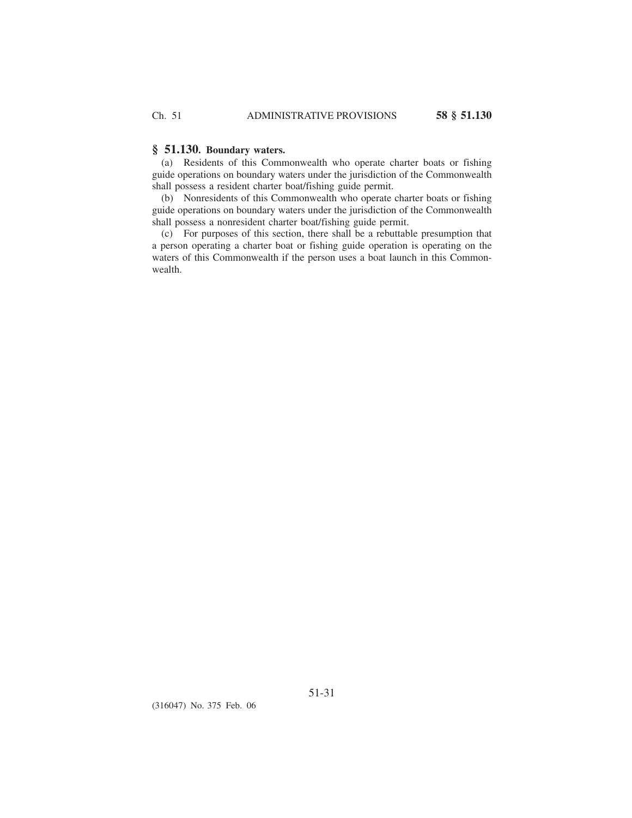# **§ 51.130. Boundary waters.**

(a) Residents of this Commonwealth who operate charter boats or fishing guide operations on boundary waters under the jurisdiction of the Commonwealth shall possess a resident charter boat/fishing guide permit.

(b) Nonresidents of this Commonwealth who operate charter boats or fishing guide operations on boundary waters under the jurisdiction of the Commonwealth shall possess a nonresident charter boat/fishing guide permit.

(c) For purposes of this section, there shall be a rebuttable presumption that a person operating a charter boat or fishing guide operation is operating on the waters of this Commonwealth if the person uses a boat launch in this Commonwealth.

(316047) No. 375 Feb. 06

51-31